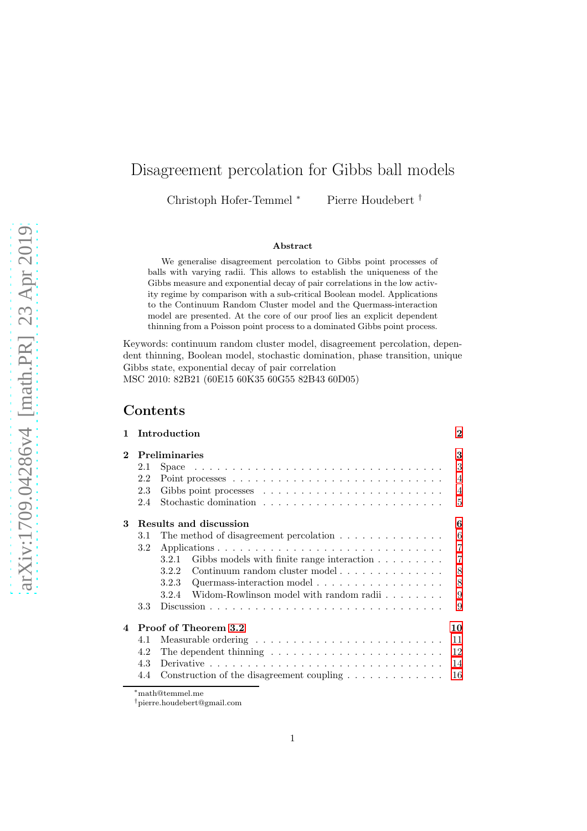# Disagreement percolation for Gibbs ball models

Christoph Hofer-Temmel <sup>∗</sup> Pierre Houdebert †

#### Abstract

We generalise disagreement percolation to Gibbs point processes of balls with varying radii. This allows to establish the uniqueness of the Gibbs measure and exponential decay of pair correlations in the low activity regime by comparison with a sub-critical Boolean model. Applications to the Continuum Random Cluster model and the Quermass-interaction model are presented. At the core of our proof lies an explicit dependent thinning from a Poisson point process to a dominated Gibbs point process.

Keywords: continuum random cluster model, disagreement percolation, dependent thinning, Boolean model, stochastic domination, phase transition, unique Gibbs state, exponential decay of pair correlation MSC 2010: 82B21 (60E15 60K35 60G55 82B43 60D05)

# Contents

| $\mathbf{1}$ |                      | Introduction                                                                         | $\bf{2}$       |  |
|--------------|----------------------|--------------------------------------------------------------------------------------|----------------|--|
| $\bf{2}$     | <b>Preliminaries</b> |                                                                                      |                |  |
|              | 2.1                  | Space $\ldots \ldots \ldots \ldots \ldots \ldots \ldots \ldots \ldots \ldots \ldots$ | 3              |  |
|              | 2.2                  |                                                                                      | $\overline{4}$ |  |
|              | 2.3                  |                                                                                      | $\overline{4}$ |  |
|              | 2.4                  |                                                                                      | 5              |  |
| 3            |                      | Results and discussion                                                               | 6              |  |
|              | 3.1                  | The method of disagreement percolation $\dots \dots \dots \dots \dots$               | 6              |  |
|              | 3.2                  |                                                                                      | $\overline{7}$ |  |
|              |                      | Gibbs models with finite range interaction $\ldots \ldots \ldots$<br>3.2.1           | $\overline{7}$ |  |
|              |                      | Continuum random cluster model<br>3.2.2                                              | 8              |  |
|              |                      | Quermass-interaction model $\dots \dots \dots \dots \dots \dots$<br>3.2.3            | 8              |  |
|              |                      | Widom-Rowlinson model with random radii<br>3.2.4                                     | 9              |  |
|              | 3.3                  |                                                                                      | 9              |  |
| 4            |                      | Proof of Theorem 3.2                                                                 | 10             |  |
|              | 4.1                  |                                                                                      | 11             |  |
|              | 4.2                  | The dependent thinning $\dots \dots \dots \dots \dots \dots \dots \dots \dots$       | 12             |  |
|              | 4.3                  |                                                                                      | 14             |  |
|              | 4.4                  | Construction of the disagreement coupling $\dots \dots \dots \dots$                  | 16             |  |

<sup>∗</sup>math@temmel.me

†pierre.houdebert@gmail.com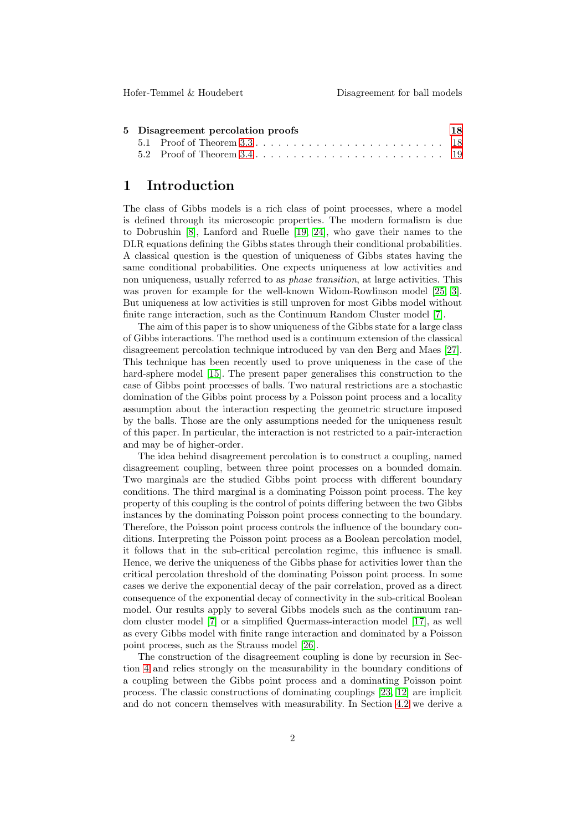| 5 Disagreement percolation proofs |                                                                                                     |  |
|-----------------------------------|-----------------------------------------------------------------------------------------------------|--|
|                                   | 5.1 Proof of Theorem $3.3 \ldots \ldots \ldots \ldots \ldots \ldots \ldots \ldots \ldots \ldots 18$ |  |
|                                   |                                                                                                     |  |

# <span id="page-1-0"></span>1 Introduction

The class of Gibbs models is a rich class of point processes, where a model is defined through its microscopic properties. The modern formalism is due to Dobrushin [\[8\]](#page-20-0), Lanford and Ruelle [\[19,](#page-21-0) [24\]](#page-21-1), who gave their names to the DLR equations defining the Gibbs states through their conditional probabilities. A classical question is the question of uniqueness of Gibbs states having the same conditional probabilities. One expects uniqueness at low activities and non uniqueness, usually referred to as *phase transition*, at large activities. This was proven for example for the well-known Widom-Rowlinson model [\[25,](#page-21-2) [3\]](#page-20-1). But uniqueness at low activities is still unproven for most Gibbs model without finite range interaction, such as the Continuum Random Cluster model [\[7\]](#page-20-2).

The aim of this paper is to show uniqueness of the Gibbs state for a large class of Gibbs interactions. The method used is a continuum extension of the classical disagreement percolation technique introduced by van den Berg and Maes [\[27\]](#page-21-3). This technique has been recently used to prove uniqueness in the case of the hard-sphere model [\[15\]](#page-21-4). The present paper generalises this construction to the case of Gibbs point processes of balls. Two natural restrictions are a stochastic domination of the Gibbs point process by a Poisson point process and a locality assumption about the interaction respecting the geometric structure imposed by the balls. Those are the only assumptions needed for the uniqueness result of this paper. In particular, the interaction is not restricted to a pair-interaction and may be of higher-order.

The idea behind disagreement percolation is to construct a coupling, named disagreement coupling, between three point processes on a bounded domain. Two marginals are the studied Gibbs point process with different boundary conditions. The third marginal is a dominating Poisson point process. The key property of this coupling is the control of points differing between the two Gibbs instances by the dominating Poisson point process connecting to the boundary. Therefore, the Poisson point process controls the influence of the boundary conditions. Interpreting the Poisson point process as a Boolean percolation model, it follows that in the sub-critical percolation regime, this influence is small. Hence, we derive the uniqueness of the Gibbs phase for activities lower than the critical percolation threshold of the dominating Poisson point process. In some cases we derive the exponential decay of the pair correlation, proved as a direct consequence of the exponential decay of connectivity in the sub-critical Boolean model. Our results apply to several Gibbs models such as the continuum random cluster model [\[7\]](#page-20-2) or a simplified Quermass-interaction model [\[17\]](#page-21-5), as well as every Gibbs model with finite range interaction and dominated by a Poisson point process, such as the Strauss model [\[26\]](#page-21-6).

The construction of the disagreement coupling is done by recursion in Section [4](#page-9-0) and relies strongly on the measurability in the boundary conditions of a coupling between the Gibbs point process and a dominating Poisson point process. The classic constructions of dominating couplings [\[23,](#page-21-7) [12\]](#page-21-8) are implicit and do not concern themselves with measurability. In Section [4.2](#page-11-0) we derive a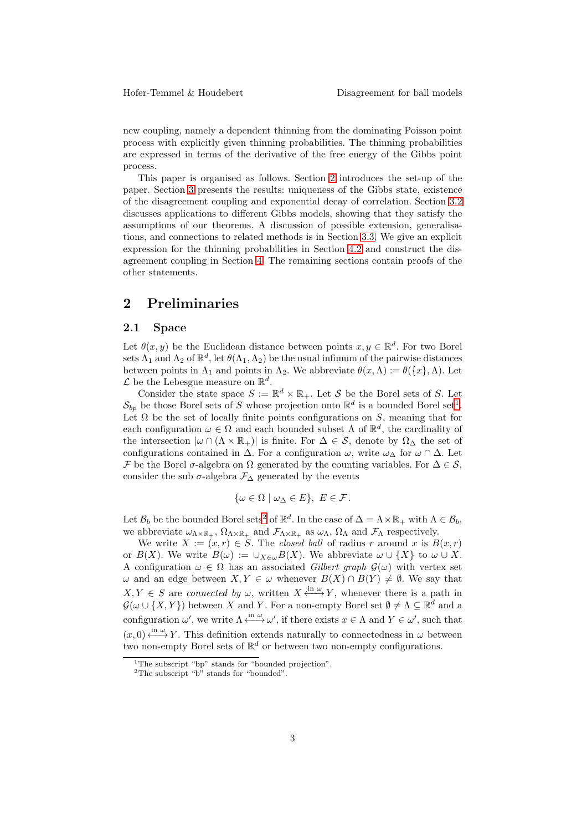new coupling, namely a dependent thinning from the dominating Poisson point process with explicitly given thinning probabilities. The thinning probabilities are expressed in terms of the derivative of the free energy of the Gibbs point process.

This paper is organised as follows. Section [2](#page-2-0) introduces the set-up of the paper. Section [3](#page-5-0) presents the results: uniqueness of the Gibbs state, existence of the disagreement coupling and exponential decay of correlation. Section [3.2](#page-6-0) discusses applications to different Gibbs models, showing that they satisfy the assumptions of our theorems. A discussion of possible extension, generalisations, and connections to related methods is in Section [3.3.](#page-8-1) We give an explicit expression for the thinning probabilities in Section [4.2](#page-11-0) and construct the disagreement coupling in Section [4.](#page-9-0) The remaining sections contain proofs of the other statements.

# <span id="page-2-1"></span><span id="page-2-0"></span>2 Preliminaries

#### 2.1 Space

Let  $\theta(x, y)$  be the Euclidean distance between points  $x, y \in \mathbb{R}^d$ . For two Borel sets  $\Lambda_1$  and  $\Lambda_2$  of  $\mathbb{R}^d$ , let  $\theta(\Lambda_1,\Lambda_2)$  be the usual infimum of the pairwise distances between points in  $\Lambda_1$  and points in  $\Lambda_2$ . We abbreviate  $\theta(x,\Lambda) := \theta({x},\Lambda)$ . Let  $\mathcal L$  be the Lebesgue measure on  $\mathbb R^d$ .

Consider the state space  $S := \mathbb{R}^d \times \mathbb{R}_+$ . Let S be the Borel sets of S. Let  $\mathcal{S}_{bp}$  be those Borel sets of S whose projection onto  $\mathbb{R}^d$  is a bounded Borel set<sup>[1](#page-2-2)</sup>. Let  $\Omega$  be the set of locally finite points configurations on S, meaning that for each configuration  $\omega \in \Omega$  and each bounded subset  $\Lambda$  of  $\mathbb{R}^d$ , the cardinality of the intersection  $|\omega \cap (\Lambda \times \mathbb{R}_+)|$  is finite. For  $\Delta \in \mathcal{S}$ , denote by  $\Omega_{\Delta}$  the set of configurations contained in  $\Delta$ . For a configuration  $\omega$ , write  $\omega_{\Delta}$  for  $\omega \cap \Delta$ . Let F be the Borel  $\sigma$ -algebra on  $\Omega$  generated by the counting variables. For  $\Delta \in \mathcal{S}$ , consider the sub  $\sigma$ -algebra  $\mathcal{F}_{\Delta}$  generated by the events

$$
\{\omega \in \Omega \mid \omega_{\Delta} \in E\},\ E \in \mathcal{F}.
$$

Let  $\mathcal{B}_b$  be the bounded Borel sets<sup>[2](#page-2-3)</sup> of  $\mathbb{R}^d$ . In the case of  $\Delta = \Lambda \times \mathbb{R}_+$  with  $\Lambda \in \mathcal{B}_b$ , we abbreviate  $\omega_{\Lambda\times\mathbb{R}_+}$ ,  $\Omega_{\Lambda\times\mathbb{R}_+}$  and  $\mathcal{F}_{\Lambda\times\mathbb{R}_+}$  as  $\omega_{\Lambda}$ ,  $\Omega_{\Lambda}$  and  $\mathcal{F}_{\Lambda}$  respectively.

We write  $X := (x, r) \in S$ . The closed ball of radius r around x is  $B(x, r)$ or  $B(X)$ . We write  $B(\omega) := \bigcup_{X \in \omega} B(X)$ . We abbreviate  $\omega \cup \{X\}$  to  $\omega \cup X$ . A configuration  $\omega \in \Omega$  has an associated Gilbert graph  $\mathcal{G}(\omega)$  with vertex set  $ω$  and an edge between  $X, Y ∈ ω$  whenever  $B(X ∩ ∩ B(Y) ≠ ∅$ . We say that  $X, Y \in S$  are connected by  $\omega$ , written  $X \stackrel{\text{in } \omega}{\longleftrightarrow} Y$ , whenever there is a path in  $\mathcal{G}(\omega \cup \{X, Y\})$  between X and Y. For a non-empty Borel set  $\emptyset \neq \Lambda \subseteq \mathbb{R}^d$  and a configuration  $\omega'$ , we write  $\Lambda \stackrel{\text{in } \omega}{\longleftrightarrow} \omega'$ , if there exists  $x \in \Lambda$  and  $Y \in \omega'$ , such that  $(x, 0) \stackrel{\text{in } \omega}{\longleftrightarrow} Y$ . This definition extends naturally to connectedness in  $\omega$  between two non-empty Borel sets of  $\mathbb{R}^d$  or between two non-empty configurations.

<sup>&</sup>lt;sup>1</sup>The subscript "bp" stands for "bounded projection".

<span id="page-2-3"></span><span id="page-2-2"></span> ${}^{2}$ The subscript "b" stands for "bounded".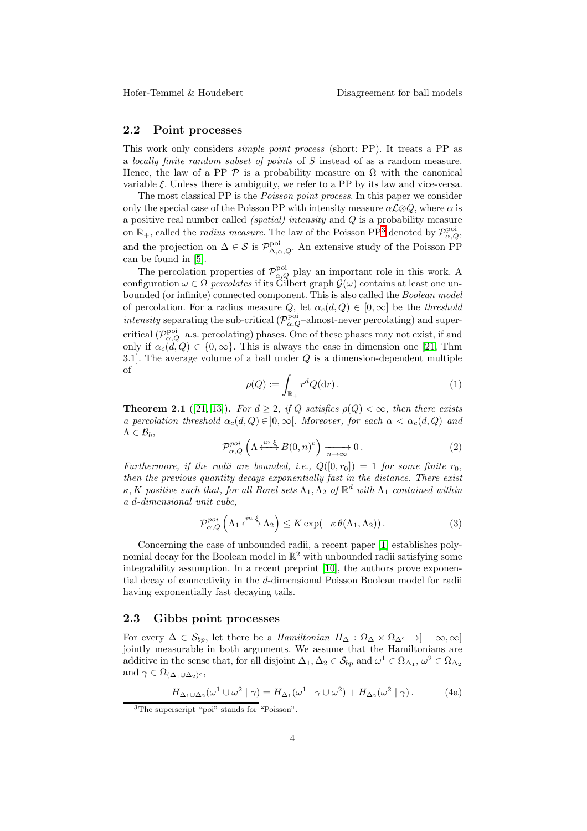#### <span id="page-3-0"></span>2.2 Point processes

This work only considers simple point process (short: PP). It treats a PP as a locally finite random subset of points of S instead of as a random measure. Hence, the law of a PP  $\mathcal P$  is a probability measure on  $\Omega$  with the canonical variable  $\xi$ . Unless there is ambiguity, we refer to a PP by its law and vice-versa.

The most classical PP is the *Poisson point process*. In this paper we consider only the special case of the Poisson PP with intensity measure  $\alpha\mathcal{L}\otimes Q$ , where  $\alpha$  is a positive real number called *(spatial)* intensity and  $Q$  is a probability measure on  $\mathbb{R}_+$ , called the *radius measure*. The law of the Poisson PP<sup>[3](#page-3-2)</sup> denoted by  $\mathcal{P}^{\text{poi}}_{\alpha,Q}$ , and the projection on  $\Delta \in \mathcal{S}$  is  $\mathcal{P}_{\Delta,\alpha,Q}^{pol}$ . An extensive study of the Poisson PP can be found in [\[5\]](#page-20-3).

The percolation properties of  $\mathcal{P}_{\alpha,Q}^{\text{pol}}$  play an important role in this work. A configuration  $\omega \in \Omega$  percolates if its Gilbert graph  $\mathcal{G}(\omega)$  contains at least one unbounded (or infinite) connected component. This is also called the *Boolean model* of percolation. For a radius measure Q, let  $\alpha_c(d, Q) \in [0, \infty]$  be the threshold *intensity* separating the sub-critical  $(\mathcal{P}_{\alpha,Q}^{poi}$ -almost-never percolating) and supercritical  $(\mathcal{P}_{\alpha,Q}^{\text{poi}}$ -a.s. percolating) phases. One of these phases may not exist, if and only if  $\alpha_c(\tilde{d}, Q) \in \{0, \infty\}$ . This is always the case in dimension one [\[21,](#page-21-9) Thm 3.1]. The average volume of a ball under Q is a dimension-dependent multiple of

$$
\rho(Q) := \int_{\mathbb{R}_+} r^d Q(\mathrm{d}r). \tag{1}
$$

<span id="page-3-7"></span>**Theorem 2.1** ([\[21,](#page-21-9) [13\]](#page-21-10)). For  $d \geq 2$ , if Q satisfies  $\rho(Q) < \infty$ , then there exists a percolation threshold  $\alpha_c(d, Q) \in ]0, \infty[$ . Moreover, for each  $\alpha < \alpha_c(d, Q)$  and  $\Lambda \in \mathcal{B}_b$ ,

<span id="page-3-6"></span>
$$
\mathcal{P}_{\alpha,Q}^{poi}\left(\Lambda \xleftarrow{i n \xi} B(0,n)^c\right) \xrightarrow[n \to \infty]{} 0.
$$
 (2)

Furthermore, if the radii are bounded, i.e.,  $Q([0, r_0]) = 1$  for some finite  $r_0$ , then the previous quantity decays exponentially fast in the distance. There exist  $\kappa, K$  positive such that, for all Borel sets  $\Lambda_1, \Lambda_2$  of  $\mathbb{R}^d$  with  $\Lambda_1$  contained within a d-dimensional unit cube,

<span id="page-3-4"></span>
$$
\mathcal{P}_{\alpha,Q}^{poi}\left(\Lambda_1 \xleftarrow{in \xi} \Lambda_2\right) \leq K \exp(-\kappa \theta(\Lambda_1, \Lambda_2)).\tag{3}
$$

Concerning the case of unbounded radii, a recent paper [\[1\]](#page-20-4) establishes polynomial decay for the Boolean model in  $\mathbb{R}^2$  with unbounded radii satisfying some integrability assumption. In a recent preprint [\[10\]](#page-20-5), the authors prove exponential decay of connectivity in the d-dimensional Poisson Boolean model for radii having exponentially fast decaying tails.

#### <span id="page-3-1"></span>2.3 Gibbs point processes

For every  $\Delta \in \mathcal{S}_{bp}$ , let there be a *Hamiltonian*  $H_{\Delta} : \Omega_{\Delta} \times \Omega_{\Delta^c} \to ]-\infty, \infty]$ jointly measurable in both arguments. We assume that the Hamiltonians are additive in the sense that, for all disjoint  $\Delta_1, \Delta_2 \in \mathcal{S}_{bp}$  and  $\omega^1 \in \Omega_{\Delta_1}, \omega^2 \in \Omega_{\Delta_2}$ and  $\gamma \in \Omega_{(\Delta_1 \cup \Delta_2)^c}$ ,

<span id="page-3-5"></span><span id="page-3-3"></span>
$$
H_{\Delta_1 \cup \Delta_2}(\omega^1 \cup \omega^2 \mid \gamma) = H_{\Delta_1}(\omega^1 \mid \gamma \cup \omega^2) + H_{\Delta_2}(\omega^2 \mid \gamma).
$$
 (4a)

<span id="page-3-2"></span><sup>3</sup>The superscript "poi" stands for "Poisson".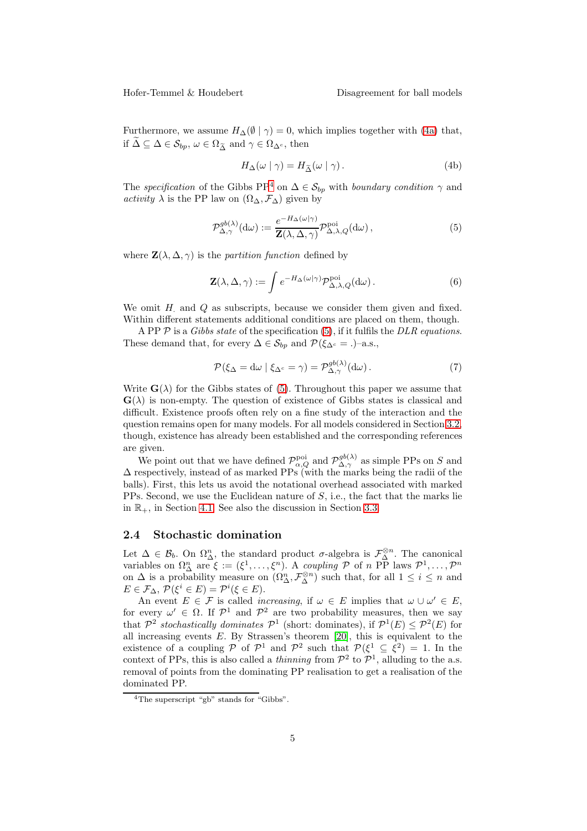Furthermore, we assume  $H_{\Delta}(\emptyset | \gamma) = 0$ , which implies together with [\(4a\)](#page-3-3) that, if  $\Delta \subseteq \Delta \in \mathcal{S}_{bp}$ ,  $\omega \in \Omega_{\tilde{\Delta}}$  and  $\gamma \in \Omega_{\Delta^c}$ , then

$$
H_{\Delta}(\omega \mid \gamma) = H_{\widetilde{\Delta}}(\omega \mid \gamma). \tag{4b}
$$

The specification of the Gibbs PP<sup>[4](#page-4-1)</sup> on  $\Delta \in \mathcal{S}_{bp}$  with boundary condition  $\gamma$  and *activity*  $\lambda$  is the PP law on  $(\Omega_{\Delta}, \mathcal{F}_{\Delta})$  given by

<span id="page-4-2"></span>
$$
\mathcal{P}_{\Delta,\gamma}^{gb(\lambda)}(\mathbf{d}\omega) := \frac{e^{-H_{\Delta}(\omega|\gamma)}}{\mathbf{Z}(\lambda,\Delta,\gamma)} \mathcal{P}_{\Delta,\lambda,Q}^{\text{poi}}(\mathbf{d}\omega),\tag{5}
$$

where  $\mathbf{Z}(\lambda, \Delta, \gamma)$  is the partition function defined by

$$
\mathbf{Z}(\lambda, \Delta, \gamma) := \int e^{-H_{\Delta}(\omega|\gamma)} \mathcal{P}^{\text{poi}}_{\Delta, \lambda, Q}(\mathrm{d}\omega). \tag{6}
$$

We omit  $H$  and  $Q$  as subscripts, because we consider them given and fixed. Within different statements additional conditions are placed on them, though.

A PP  $\mathcal P$  is a *Gibbs state* of the specification [\(5\)](#page-4-2), if it fulfils the *DLR equations*. These demand that, for every  $\Delta \in \mathcal{S}_{bp}$  and  $\mathcal{P}(\xi_{\Delta^c} = .)-$ a.s.,

<span id="page-4-3"></span>
$$
\mathcal{P}(\xi_{\Delta} = d\omega \mid \xi_{\Delta^c} = \gamma) = \mathcal{P}^{gb(\lambda)}_{\Delta, \gamma} (d\omega).
$$
 (7)

Write  $\mathbf{G}(\lambda)$  for the Gibbs states of [\(5\)](#page-4-2). Throughout this paper we assume that  $\mathbf{G}(\lambda)$  is non-empty. The question of existence of Gibbs states is classical and difficult. Existence proofs often rely on a fine study of the interaction and the question remains open for many models. For all models considered in Section [3.2,](#page-6-0) though, existence has already been established and the corresponding references are given.

We point out that we have defined  $\mathcal{P}_{\alpha,Q}^{pol}$  and  $\mathcal{P}_{\Delta,\gamma}^{gb(\lambda)}$  as simple PPs on S and  $\Delta$  respectively, instead of as marked PPs (with the marks being the radii of the balls). First, this lets us avoid the notational overhead associated with marked PPs. Second, we use the Euclidean nature of S, i.e., the fact that the marks lie in  $\mathbb{R}_+$ , in Section [4.1.](#page-10-0) See also the discussion in Section [3.3.](#page-8-1)

### <span id="page-4-0"></span>2.4 Stochastic domination

Let  $\Delta \in \mathcal{B}_b$ . On  $\Omega^n_{\Delta}$ , the standard product  $\sigma$ -algebra is  $\mathcal{F}_{\Delta}^{\otimes n}$ . The canonical variables on  $\Omega_{\Delta}^n$  are  $\xi := (\xi^1, \ldots, \xi^n)$ . A coupling  $P$  of n PP laws  $P^1, \ldots, P^n$ on  $\Delta$  is a probability measure on  $(\Omega_\Delta^n, \mathcal{F}_\Delta^{\otimes n})$  such that, for all  $1 \leq i \leq n$  and  $E \in \mathcal{F}_{\Delta}, \, \mathcal{P}(\xi^i \in E) = \mathcal{P}^i(\xi \in E).$ 

An event  $E \in \mathcal{F}$  is called *increasing*, if  $\omega \in E$  implies that  $\omega \cup \omega' \in E$ , for every  $\omega' \in \Omega$ . If  $\mathcal{P}^1$  and  $\mathcal{P}^2$  are two probability measures, then we say that  $\mathcal{P}^2$  stochastically dominates  $\mathcal{P}^1$  (short: dominates), if  $\mathcal{P}^1(E) \leq \mathcal{P}^2(E)$  for all increasing events  $E$ . By Strassen's theorem [\[20\]](#page-21-11), this is equivalent to the existence of a coupling P of  $\mathcal{P}^1$  and  $\mathcal{P}^2$  such that  $\mathcal{P}(\xi^1 \subseteq \xi^2) = 1$ . In the context of PPs, this is also called a *thinning* from  $\mathcal{P}^2$  to  $\mathcal{P}^1$ , alluding to the a.s. removal of points from the dominating PP realisation to get a realisation of the dominated PP.

<span id="page-4-1"></span><sup>4</sup>The superscript "gb" stands for "Gibbs".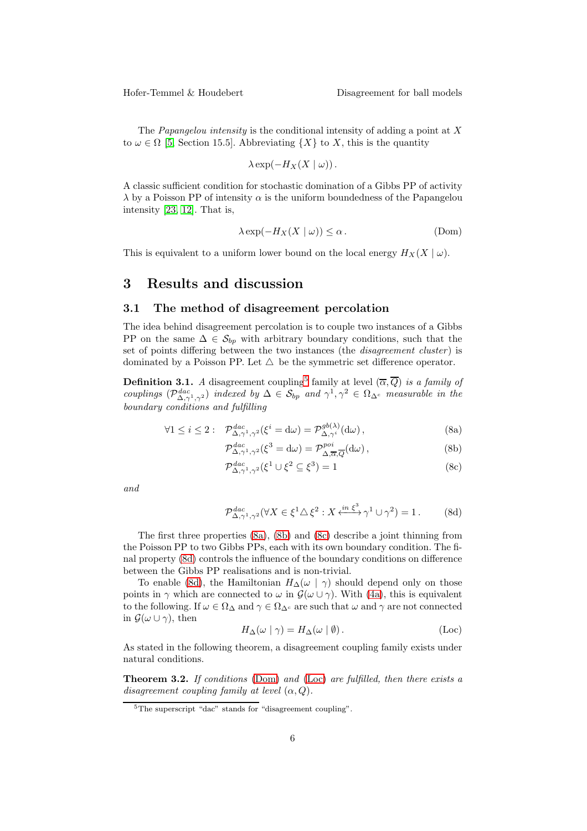<span id="page-5-8"></span>

The *Papangelou intensity* is the conditional intensity of adding a point at  $X$ to  $\omega \in \Omega$  [\[5,](#page-20-3) Section 15.5]. Abbreviating  $\{X\}$  to X, this is the quantity

$$
\lambda \exp(-H_X(X \mid \omega)).
$$

A classic sufficient condition for stochastic domination of a Gibbs PP of activity  $\lambda$  by a Poisson PP of intensity  $\alpha$  is the uniform boundedness of the Papangelou intensity [\[23,](#page-21-7) [12\]](#page-21-8). That is,

$$
\lambda \exp(-H_X(X \mid \omega)) \le \alpha. \tag{Dom}
$$

This is equivalent to a uniform lower bound on the local energy  $H_X(X \mid \omega)$ .

# <span id="page-5-1"></span><span id="page-5-0"></span>3 Results and discussion

### 3.1 The method of disagreement percolation

The idea behind disagreement percolation is to couple two instances of a Gibbs PP on the same  $\Delta \in \mathcal{S}_{bp}$  with arbitrary boundary conditions, such that the set of points differing between the two instances (the *disagreement cluster*) is dominated by a Poisson PP. Let  $\triangle$  be the symmetric set difference operator.

**Definition 3.1.** A disagreement coupling<sup>[5](#page-5-3)</sup> family at level  $(\overline{\alpha}, \overline{Q})$  is a family of couplings  $(\mathcal{P}_{\Delta,\gamma^1,\gamma^2}^{dac})$  indexed by  $\Delta \in \mathcal{S}_{bp}$  and  $\gamma^1,\gamma^2 \in \Omega_{\Delta^c}$  measurable in the boundary conditions and fulfilling

$$
\forall 1 \le i \le 2: \quad \mathcal{P}_{\Delta,\gamma^1,\gamma^2}^{dac}(\xi^i = d\omega) = \mathcal{P}_{\Delta,\gamma^i}^{gb(\lambda)}(d\omega), \tag{8a}
$$

<span id="page-5-10"></span>
$$
\mathcal{P}^{dac}_{\Delta,\gamma^1,\gamma^2}(\xi^3 = d\omega) = \mathcal{P}^{poi}_{\Delta,\overline{\alpha},\overline{Q}}(d\omega),\tag{8b}
$$

<span id="page-5-6"></span><span id="page-5-5"></span><span id="page-5-4"></span>
$$
\mathcal{P}_{\Delta,\gamma^1,\gamma^2}^{dac}(\xi^1 \cup \xi^2 \subseteq \xi^3) = 1
$$
\n(8c)

and

<span id="page-5-7"></span>
$$
\mathcal{P}_{\Delta,\gamma^1,\gamma^2}^{dac}(\forall X \in \xi^1 \triangle \xi^2 : X \xleftarrow{\text{in } \xi^3} \gamma^1 \cup \gamma^2) = 1. \tag{8d}
$$

The first three properties [\(8a\)](#page-5-4), [\(8b\)](#page-5-5) and [\(8c\)](#page-5-6) describe a joint thinning from the Poisson PP to two Gibbs PPs, each with its own boundary condition. The final property [\(8d\)](#page-5-7) controls the influence of the boundary conditions on difference between the Gibbs PP realisations and is non-trivial.

To enable [\(8d\)](#page-5-7), the Hamiltonian  $H_{\Delta}(\omega | \gamma)$  should depend only on those points in  $\gamma$  which are connected to  $\omega$  in  $\mathcal{G}(\omega \cup \gamma)$ . With [\(4a\)](#page-3-3), this is equivalent to the following. If  $\omega \in \Omega_{\Delta}$  and  $\gamma \in \Omega_{\Delta^c}$  are such that  $\omega$  and  $\gamma$  are not connected in  $\mathcal{G}(\omega \cup \gamma)$ , then

<span id="page-5-9"></span>
$$
H_{\Delta}(\omega \mid \gamma) = H_{\Delta}(\omega \mid \emptyset).
$$
 (Loc)

As stated in the following theorem, a disagreement coupling family exists under natural conditions.

<span id="page-5-2"></span>**Theorem 3.2.** If conditions [\(Dom\)](#page-5-8) and [\(Loc\)](#page-5-9) are fulfilled, then there exists a disagreement coupling family at level  $(\alpha, Q)$ .

<span id="page-5-3"></span><sup>&</sup>lt;sup>5</sup>The superscript "dac" stands for "disagreement coupling".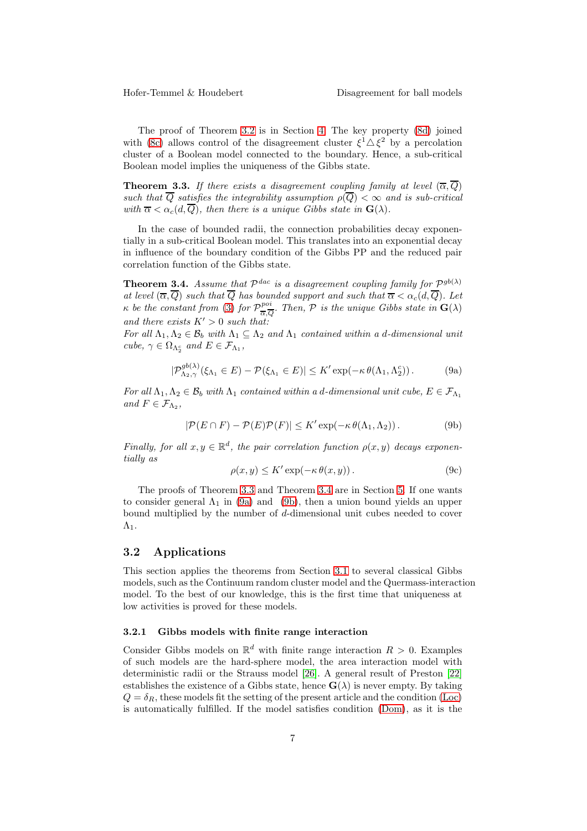The proof of Theorem [3.2](#page-5-2) is in Section [4.](#page-9-0) The key property [\(8d\)](#page-5-7) joined with [\(8c\)](#page-5-6) allows control of the disagreement cluster  $\xi^1 \triangle \xi^2$  by a percolation cluster of a Boolean model connected to the boundary. Hence, a sub-critical Boolean model implies the uniqueness of the Gibbs state.

<span id="page-6-2"></span>**Theorem 3.3.** If there exists a disagreement coupling family at level  $(\overline{\alpha},\overline{Q})$ such that  $\overline{Q}$  satisfies the integrability assumption  $\rho(\overline{Q}) < \infty$  and is sub-critical with  $\overline{\alpha} < \alpha_c(d, \overline{Q})$ , then there is a unique Gibbs state in  $\mathbf{G}(\lambda)$ .

In the case of bounded radii, the connection probabilities decay exponentially in a sub-critical Boolean model. This translates into an exponential decay in influence of the boundary condition of the Gibbs PP and the reduced pair correlation function of the Gibbs state.

<span id="page-6-3"></span>**Theorem 3.4.** Assume that  $\mathcal{P}^{dac}$  is a disagreement coupling family for  $\mathcal{P}^{gb(\lambda)}$ at level  $(\overline{\alpha},\overline{Q})$  such that  $\overline{Q}$  has bounded support and such that  $\overline{\alpha}<\alpha_c(d,\overline{Q})$ . Let  $\kappa$  be the constant from [\(3\)](#page-3-4) for  $\mathcal{P}^{poi}_{\overline{z}}$  $\frac{p_{0}}{\overline{\alpha},\overline{Q}}$ . Then, P is the unique Gibbs state in  $\mathbf{G}(\lambda)$ and there exists  $K' > 0$  such that:

For all  $\Lambda_1, \Lambda_2 \in \mathcal{B}_b$  with  $\Lambda_1 \subseteq \Lambda_2$  and  $\Lambda_1$  contained within a d-dimensional unit cube,  $\gamma \in \Omega_{\Lambda_2^c}$  and  $E \in \mathcal{F}_{\Lambda_1}$ ,

<span id="page-6-4"></span>
$$
|\mathcal{P}_{\Lambda_2,\gamma}^{gb(\lambda)}(\xi_{\Lambda_1} \in E) - \mathcal{P}(\xi_{\Lambda_1} \in E)| \leq K' \exp(-\kappa \theta(\Lambda_1, \Lambda_2^c)). \tag{9a}
$$

For all  $\Lambda_1, \Lambda_2 \in \mathcal{B}_b$  with  $\Lambda_1$  contained within a d-dimensional unit cube,  $E \in \mathcal{F}_{\Lambda_1}$ and  $F \in \mathcal{F}_{\Lambda_2}$ ,

<span id="page-6-5"></span>
$$
|\mathcal{P}(E \cap F) - \mathcal{P}(E)\mathcal{P}(F)| \leq K' \exp(-\kappa \theta(\Lambda_1, \Lambda_2)).
$$
 (9b)

Finally, for all  $x, y \in \mathbb{R}^d$ , the pair correlation function  $\rho(x, y)$  decays exponentially as

<span id="page-6-6"></span>
$$
\rho(x, y) \le K' \exp(-\kappa \theta(x, y)).
$$
\n(9c)

The proofs of Theorem [3.3](#page-6-2) and Theorem [3.4](#page-6-3) are in Section [5.](#page-17-0) If one wants to consider general  $\Lambda_1$  in [\(9a\)](#page-6-4) and [\(9b\)](#page-6-5), then a union bound yields an upper bound multiplied by the number of d-dimensional unit cubes needed to cover Λ1.

### <span id="page-6-0"></span>3.2 Applications

This section applies the theorems from Section [3.1](#page-5-1) to several classical Gibbs models, such as the Continuum random cluster model and the Quermass-interaction model. To the best of our knowledge, this is the first time that uniqueness at low activities is proved for these models.

#### <span id="page-6-1"></span>3.2.1 Gibbs models with finite range interaction

Consider Gibbs models on  $\mathbb{R}^d$  with finite range interaction  $R > 0$ . Examples of such models are the hard-sphere model, the area interaction model with deterministic radii or the Strauss model [\[26\]](#page-21-6). A general result of Preston [\[22\]](#page-21-12) establishes the existence of a Gibbs state, hence  $\mathbf{G}(\lambda)$  is never empty. By taking  $Q = \delta_B$ , these models fit the setting of the present article and the condition [\(Loc\)](#page-5-9) is automatically fulfilled. If the model satisfies condition [\(Dom\)](#page-5-8), as it is the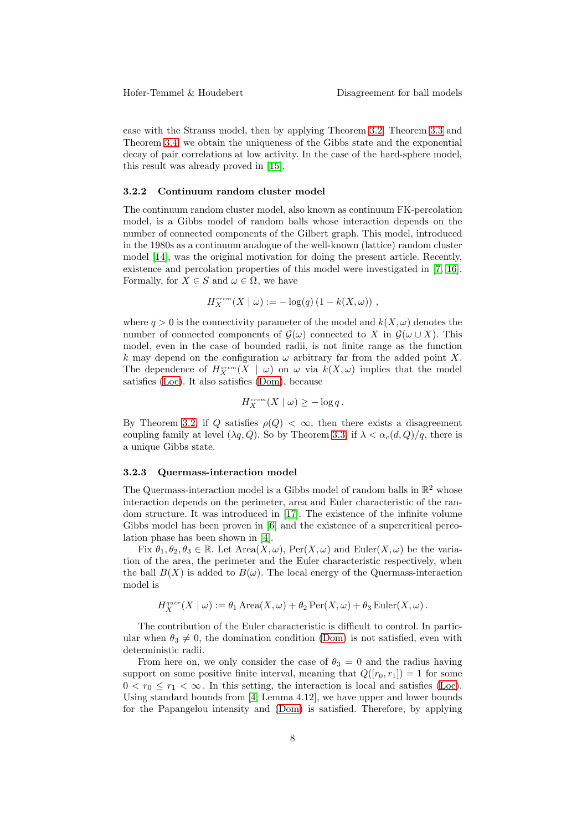case with the Strauss model, then by applying Theorem [3.2,](#page-5-2) Theorem [3.3](#page-6-2) and Theorem [3.4,](#page-6-3) we obtain the uniqueness of the Gibbs state and the exponential decay of pair correlations at low activity. In the case of the hard-sphere model, this result was already proved in [\[15\]](#page-21-4).

#### <span id="page-7-0"></span>3.2.2 Continuum random cluster model

The continuum random cluster model, also known as continuum FK-percolation model, is a Gibbs model of random balls whose interaction depends on the number of connected components of the Gilbert graph. This model, introduced in the 1980s as a continuum analogue of the well-known (lattice) random cluster model [\[14\]](#page-21-13), was the original motivation for doing the present article. Recently, existence and percolation properties of this model were investigated in [\[7,](#page-20-2) [16\]](#page-21-14). Formally, for  $X \in S$  and  $\omega \in \Omega$ , we have

$$
H_X^{crcm}(X \mid \omega) := -\log(q) (1 - k(X, \omega)),
$$

where  $q > 0$  is the connectivity parameter of the model and  $k(X, \omega)$  denotes the number of connected components of  $\mathcal{G}(\omega)$  connected to X in  $\mathcal{G}(\omega \cup X)$ . This model, even in the case of bounded radii, is not finite range as the function k may depend on the configuration  $\omega$  arbitrary far from the added point X. The dependence of  $H_X^{crcm}(X \mid \omega)$  on  $\omega$  via  $k(X, \omega)$  implies that the model satisfies [\(Loc\)](#page-5-9). It also satisfies [\(Dom\)](#page-5-8), because

$$
H_X^{crcm}(X \mid \omega) \geq -\log q.
$$

By Theorem [3.2,](#page-5-2) if Q satisfies  $\rho(Q) < \infty$ , then there exists a disagreement coupling family at level  $(\lambda q, Q)$ . So by Theorem [3.3,](#page-6-2) if  $\lambda < \alpha_c(d, Q)/q$ , there is a unique Gibbs state.

#### <span id="page-7-1"></span>3.2.3 Quermass-interaction model

The Quermass-interaction model is a Gibbs model of random balls in  $\mathbb{R}^2$  whose interaction depends on the perimeter, area and Euler characteristic of the random structure. It was introduced in [\[17\]](#page-21-5). The existence of the infinite volume Gibbs model has been proven in [\[6\]](#page-20-6) and the existence of a supercritical percolation phase has been shown in [\[4\]](#page-20-7).

Fix  $\theta_1, \theta_2, \theta_3 \in \mathbb{R}$ . Let  $Area(X, \omega)$ , Per $(X, \omega)$  and Euler $(X, \omega)$  be the variation of the area, the perimeter and the Euler characteristic respectively, when the ball  $B(X)$  is added to  $B(\omega)$ . The local energy of the Quermass-interaction model is

$$
H_X^{quer}(X \mid \omega) := \theta_1 \operatorname{Area}(X, \omega) + \theta_2 \operatorname{Per}(X, \omega) + \theta_3 \operatorname{Euler}(X, \omega).
$$

The contribution of the Euler characteristic is difficult to control. In particular when  $\theta_3 \neq 0$ , the domination condition [\(Dom\)](#page-5-8) is not satisfied, even with deterministic radii.

From here on, we only consider the case of  $\theta_3 = 0$  and the radius having support on some positive finite interval, meaning that  $Q([r_0, r_1]) = 1$  for some  $0 < r_0 \leq r_1 < \infty$ . In this setting, the interaction is local and satisfies [\(Loc\)](#page-5-9). Using standard bounds from [\[4,](#page-20-7) Lemma 4.12], we have upper and lower bounds for the Papangelou intensity and [\(Dom\)](#page-5-8) is satisfied. Therefore, by applying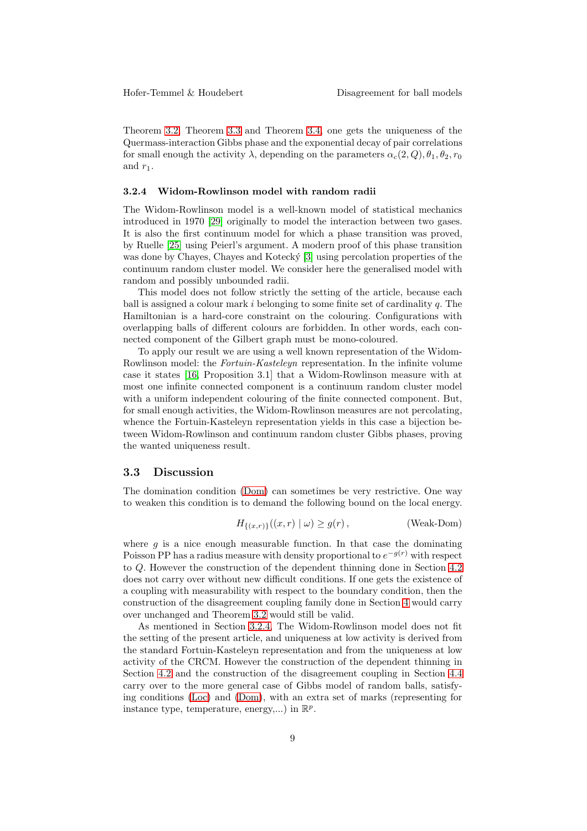Theorem [3.2,](#page-5-2) Theorem [3.3](#page-6-2) and Theorem [3.4,](#page-6-3) one gets the uniqueness of the Quermass-interaction Gibbs phase and the exponential decay of pair correlations for small enough the activity  $\lambda$ , depending on the parameters  $\alpha_c(2, Q), \theta_1, \theta_2, r_0$ and  $r_1$ .

#### <span id="page-8-0"></span>3.2.4 Widom-Rowlinson model with random radii

The Widom-Rowlinson model is a well-known model of statistical mechanics introduced in 1970 [\[29\]](#page-22-0) originally to model the interaction between two gases. It is also the first continuum model for which a phase transition was proved, by Ruelle [\[25\]](#page-21-2) using Peierl's argument. A modern proof of this phase transition was done by Chayes, Chayes and Kotecký [\[3\]](#page-20-1) using percolation properties of the continuum random cluster model. We consider here the generalised model with random and possibly unbounded radii.

This model does not follow strictly the setting of the article, because each ball is assigned a colour mark  $i$  belonging to some finite set of cardinality  $q$ . The Hamiltonian is a hard-core constraint on the colouring. Configurations with overlapping balls of different colours are forbidden. In other words, each connected component of the Gilbert graph must be mono-coloured.

To apply our result we are using a well known representation of the Widom-Rowlinson model: the Fortuin-Kasteleyn representation. In the infinite volume case it states [\[16,](#page-21-14) Proposition 3.1] that a Widom-Rowlinson measure with at most one infinite connected component is a continuum random cluster model with a uniform independent colouring of the finite connected component. But, for small enough activities, the Widom-Rowlinson measures are not percolating, whence the Fortuin-Kasteleyn representation yields in this case a bijection between Widom-Rowlinson and continuum random cluster Gibbs phases, proving the wanted uniqueness result.

#### <span id="page-8-1"></span>3.3 Discussion

The domination condition [\(Dom\)](#page-5-8) can sometimes be very restrictive. One way to weaken this condition is to demand the following bound on the local energy.

$$
H_{\{(x,r)\}}((x,r) \mid \omega) \ge g(r), \qquad \text{(Weak-Dom)}
$$

where  $g$  is a nice enough measurable function. In that case the dominating Poisson PP has a radius measure with density proportional to  $e^{-g(r)}$  with respect to Q. However the construction of the dependent thinning done in Section [4.2](#page-11-0) does not carry over without new difficult conditions. If one gets the existence of a coupling with measurability with respect to the boundary condition, then the construction of the disagreement coupling family done in Section [4](#page-9-0) would carry over unchanged and Theorem [3.2](#page-5-2) would still be valid.

As mentioned in Section [3.2.4,](#page-8-0) The Widom-Rowlinson model does not fit the setting of the present article, and uniqueness at low activity is derived from the standard Fortuin-Kasteleyn representation and from the uniqueness at low activity of the CRCM. However the construction of the dependent thinning in Section [4.2](#page-11-0) and the construction of the disagreement coupling in Section [4.4](#page-15-0) carry over to the more general case of Gibbs model of random balls, satisfying conditions [\(Loc\)](#page-5-9) and [\(Dom\)](#page-5-8), with an extra set of marks (representing for instance type, temperature, energy,...) in  $\mathbb{R}^p$ .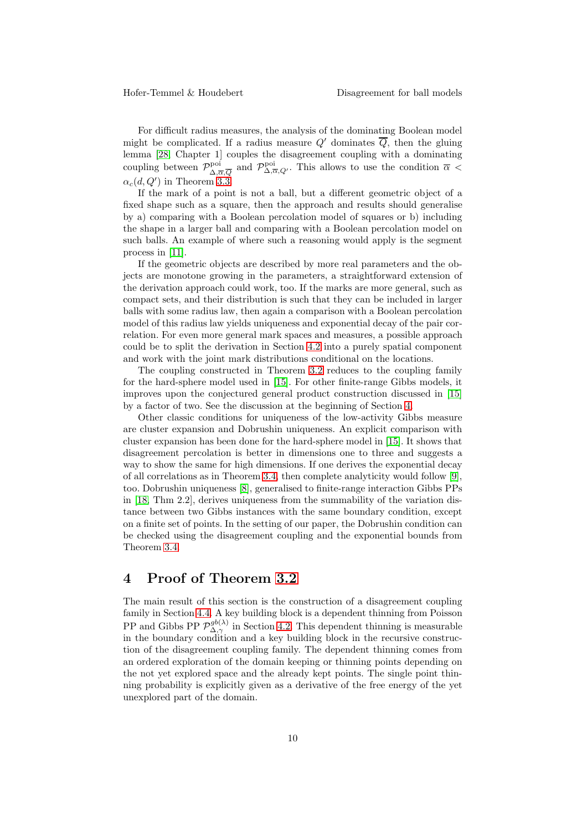For difficult radius measures, the analysis of the dominating Boolean model might be complicated. If a radius measure  $Q'$  dominates  $\overline{Q}$ , then the gluing lemma [\[28,](#page-21-15) Chapter 1] couples the disagreement coupling with a dominating coupling between  $\mathcal{P}_{\Lambda}^{\text{pol}}$  $\frac{\partial P^{\text{pol}}}{\partial \lambda, \overline{\alpha}, Q}$  and  $\mathcal{P}_{\Delta, \overline{\alpha}, Q'}^{\text{pol}}$ . This allows to use the condition  $\overline{\alpha}$  <  $\alpha_c(d, Q')$  in Theorem [3.3.](#page-6-2)

If the mark of a point is not a ball, but a different geometric object of a fixed shape such as a square, then the approach and results should generalise by a) comparing with a Boolean percolation model of squares or b) including the shape in a larger ball and comparing with a Boolean percolation model on such balls. An example of where such a reasoning would apply is the segment process in [\[11\]](#page-20-8).

If the geometric objects are described by more real parameters and the objects are monotone growing in the parameters, a straightforward extension of the derivation approach could work, too. If the marks are more general, such as compact sets, and their distribution is such that they can be included in larger balls with some radius law, then again a comparison with a Boolean percolation model of this radius law yields uniqueness and exponential decay of the pair correlation. For even more general mark spaces and measures, a possible approach could be to split the derivation in Section [4.2](#page-11-0) into a purely spatial component and work with the joint mark distributions conditional on the locations.

The coupling constructed in Theorem [3.2](#page-5-2) reduces to the coupling family for the hard-sphere model used in [\[15\]](#page-21-4). For other finite-range Gibbs models, it improves upon the conjectured general product construction discussed in [\[15\]](#page-21-4) by a factor of two. See the discussion at the beginning of Section [4.](#page-9-0)

Other classic conditions for uniqueness of the low-activity Gibbs measure are cluster expansion and Dobrushin uniqueness. An explicit comparison with cluster expansion has been done for the hard-sphere model in [\[15\]](#page-21-4). It shows that disagreement percolation is better in dimensions one to three and suggests a way to show the same for high dimensions. If one derives the exponential decay of all correlations as in Theorem [3.4,](#page-6-3) then complete analyticity would follow [\[9\]](#page-20-9), too. Dobrushin uniqueness [\[8\]](#page-20-0), generalised to finite-range interaction Gibbs PPs in [\[18,](#page-21-16) Thm 2.2], derives uniqueness from the summability of the variation distance between two Gibbs instances with the same boundary condition, except on a finite set of points. In the setting of our paper, the Dobrushin condition can be checked using the disagreement coupling and the exponential bounds from Theorem [3.4.](#page-6-3)

# <span id="page-9-0"></span>4 Proof of Theorem [3.2](#page-5-2)

The main result of this section is the construction of a disagreement coupling family in Section [4.4.](#page-15-0) A key building block is a dependent thinning from Poisson PP and Gibbs PP  $\mathcal{P}_{\Delta,\gamma}^{gb(\lambda)}$  in Section [4.2.](#page-11-0) This dependent thinning is measurable in the boundary condition and a key building block in the recursive construction of the disagreement coupling family. The dependent thinning comes from an ordered exploration of the domain keeping or thinning points depending on the not yet explored space and the already kept points. The single point thinning probability is explicitly given as a derivative of the free energy of the yet unexplored part of the domain.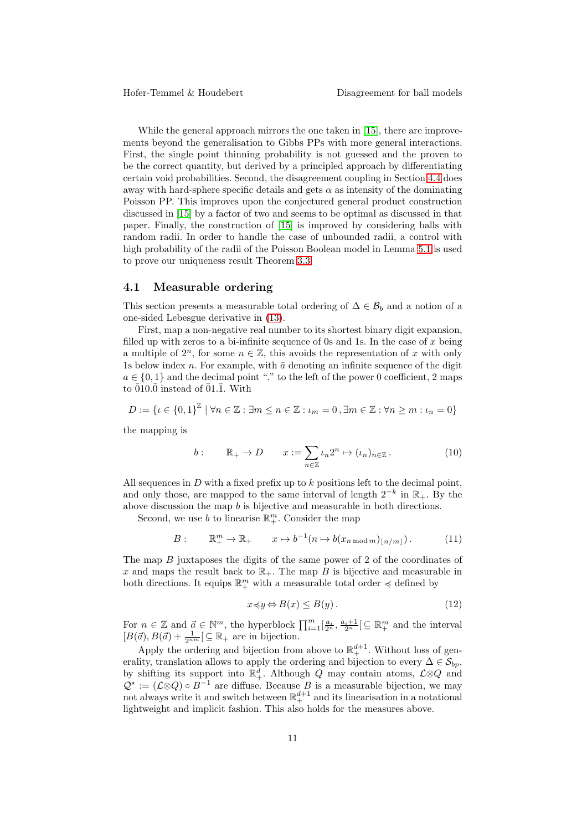While the general approach mirrors the one taken in [\[15\]](#page-21-4), there are improvements beyond the generalisation to Gibbs PPs with more general interactions. First, the single point thinning probability is not guessed and the proven to be the correct quantity, but derived by a principled approach by differentiating certain void probabilities. Second, the disagreement coupling in Section [4.4](#page-15-0) does away with hard-sphere specific details and gets  $\alpha$  as intensity of the dominating Poisson PP. This improves upon the conjectured general product construction discussed in [\[15\]](#page-21-4) by a factor of two and seems to be optimal as discussed in that paper. Finally, the construction of [\[15\]](#page-21-4) is improved by considering balls with random radii. In order to handle the case of unbounded radii, a control with high probability of the radii of the Poisson Boolean model in Lemma [5.1](#page-18-1) is used to prove our uniqueness result Theorem [3.3.](#page-6-2)

#### <span id="page-10-0"></span>4.1 Measurable ordering

This section presents a measurable total ordering of  $\Delta \in \mathcal{B}_b$  and a notion of a one-sided Lebesgue derivative in [\(13\)](#page-11-1).

First, map a non-negative real number to its shortest binary digit expansion, filled up with zeros to a bi-infinite sequence of 0s and 1s. In the case of  $x$  being a multiple of  $2^n$ , for some  $n \in \mathbb{Z}$ , this avoids the representation of x with only 1s below index n. For example, with  $\bar{a}$  denoting an infinite sequence of the digit  $a \in \{0,1\}$  and the decimal point "." to the left of the power 0 coefficient, 2 maps to  $\bar{0}10.\bar{0}$  instead of  $\bar{0}1.\bar{1}$ . With

$$
D := \{ \iota \in \{0,1\}^{\mathbb{Z}} \mid \forall n \in \mathbb{Z} : \exists m \le n \in \mathbb{Z} : \iota_m = 0, \exists m \in \mathbb{Z} : \forall n \ge m : \iota_n = 0 \}
$$

the mapping is

$$
b: \qquad \mathbb{R}_+ \to D \qquad x := \sum_{n \in \mathbb{Z}} \iota_n 2^n \mapsto (\iota_n)_{n \in \mathbb{Z}}. \tag{10}
$$

All sequences in  $D$  with a fixed prefix up to  $k$  positions left to the decimal point, and only those, are mapped to the same interval of length  $2^{-k}$  in  $\mathbb{R}_{+}$ . By the above discussion the map  $b$  is bijective and measurable in both directions.

Second, we use *b* to linearise  $\mathbb{R}^m_+$ . Consider the map

$$
B: \qquad \mathbb{R}^m_+ \to \mathbb{R}_+ \qquad x \mapsto b^{-1}(n \mapsto b(x_{n \bmod m})_{\lfloor n/m \rfloor}). \tag{11}
$$

The map B juxtaposes the digits of the same power of 2 of the coordinates of x and maps the result back to  $\mathbb{R}_+$ . The map B is bijective and measurable in both directions. It equips  $\mathbb{R}^m_+$  with a measurable total order  $\preccurlyeq$  defined by

$$
x \preccurlyeq y \Leftrightarrow B(x) \le B(y). \tag{12}
$$

For  $n \in \mathbb{Z}$  and  $\vec{a} \in \mathbb{N}^m$ , the hyperblock  $\prod_{i=1}^m \left[\frac{a_i}{2^n}, \frac{a_i+1}{2^n}\right] \subseteq \mathbb{R}^m_+$  and the interval  $[B(\vec{a}), B(\vec{a}) + \frac{1}{2^{nm}}] \subseteq \mathbb{R}_+$  are in bijection.

Apply the ordering and bijection from above to  $\mathbb{R}^{d+1}_+$ . Without loss of generality, translation allows to apply the ordering and bijection to every  $\Delta \in \mathcal{S}_{bp}$ , by shifting its support into  $\mathbb{R}^d_+$ . Although Q may contain atoms,  $\mathcal{L}\otimes Q$  and  $\mathcal{Q}^* := (\mathcal{L} \otimes Q) \circ B^{-1}$  are diffuse. Because B is a measurable bijection, we may not always write it and switch between  $\mathbb{R}^{d+1}_+$  and its linearisation in a notational lightweight and implicit fashion. This also holds for the measures above.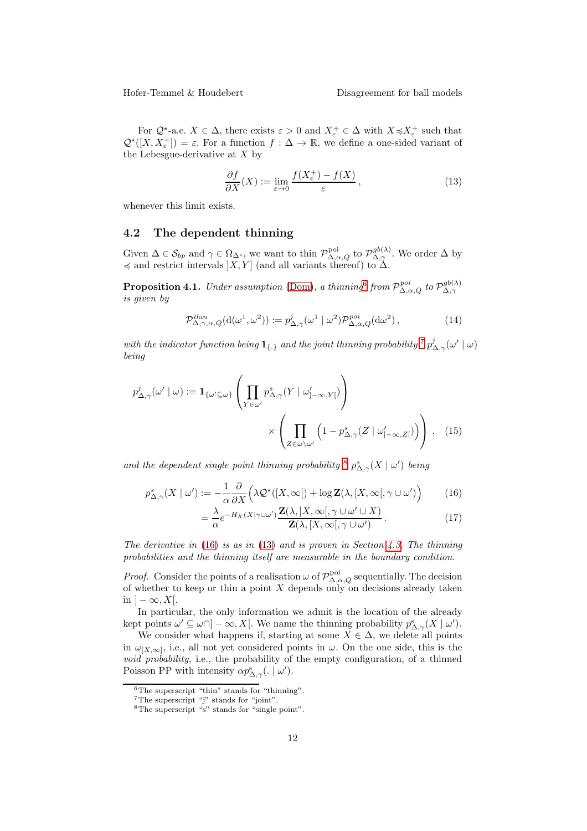For  $\mathcal{Q}^*$ -a.e.  $X \in \Delta$ , there exists  $\varepsilon > 0$  and  $X^+_{\varepsilon} \in \Delta$  with  $X \preccurlyeq X^+_{\varepsilon}$  such that  $\mathcal{Q}^{\star}([X,X_{\varepsilon}^+])=\varepsilon$ . For a function  $f:\Delta\to\mathbb{R}$ , we define a one-sided variant of the Lebesgue-derivative at  $X$  by

<span id="page-11-1"></span>
$$
\frac{\partial f}{\partial X}(X) := \lim_{\varepsilon \to 0} \frac{f(X_{\varepsilon}^+) - f(X)}{\varepsilon},\tag{13}
$$

<span id="page-11-0"></span>whenever this limit exists.

### 4.2 The dependent thinning

Given  $\Delta \in \mathcal{S}_{bp}$  and  $\gamma \in \Omega_{\Delta^c}$ , we want to thin  $\mathcal{P}^{\text{poi}}_{\Delta,\alpha,Q}$  to  $\mathcal{P}^{gb(\lambda)}_{\Delta,\gamma}$ . We order  $\Delta$  by  $\preccurlyeq$  and restrict intervals  $[X, Y]$  (and all variants thereof) to  $\Delta$ .

<span id="page-11-9"></span>**Proposition 4.1.** Under assumption [\(Dom\)](#page-5-8), a thinning from  $\mathcal{P}^{poi}_{\Delta,\alpha,Q}$  to  $\mathcal{P}^{gb(\lambda)}_{\Delta,\gamma}$  $\Delta,\gamma$ is given by

$$
\mathcal{P}^{\text{thin}}_{\Delta,\gamma,\alpha,Q}(\mathbf{d}(\omega^1,\omega^2)) := p^j_{\Delta,\gamma}(\omega^1 \mid \omega^2) \mathcal{P}^{\text{poi}}_{\Delta,\alpha,Q}(\mathbf{d}\omega^2) ,\qquad (14)
$$

with the indicator function being  $\mathbf{1}_{\{.\}}$  and the joint thinning probability  $\int^{\pi} p_{\Delta,\gamma}^j(\omega' \mid \omega)$ being

$$
p_{\Delta,\gamma}^j(\omega' \mid \omega) := \mathbf{1}_{\{\omega' \subseteq \omega\}} \left( \prod_{Y \in \omega'} p_{\Delta,\gamma}^s(Y \mid \omega'_{]-\infty,Y}]) \right) \times \left( \prod_{Z \in \omega \setminus \omega'} \left( 1 - p_{\Delta,\gamma}^s(Z \mid \omega'_{]-\infty,Z}]) \right) \right), \quad (15)
$$

and the dependent single point thinning probability  ${}^8P^s_{\Delta,\gamma}(X \mid \omega')$  ${}^8P^s_{\Delta,\gamma}(X \mid \omega')$  ${}^8P^s_{\Delta,\gamma}(X \mid \omega')$  being

$$
p_{\Delta,\gamma}^s(X \mid \omega') := -\frac{1}{\alpha} \frac{\partial}{\partial X} \Big( \lambda \mathcal{Q}^*([X,\infty]) + \log \mathbf{Z}(\lambda,[X,\infty],\gamma \cup \omega') \Big) \tag{16}
$$

<span id="page-11-7"></span><span id="page-11-6"></span><span id="page-11-5"></span>
$$
= \frac{\lambda}{\alpha} e^{-H_X(X|\gamma \cup \omega')} \frac{\mathbf{Z}(\lambda,]X,\infty[,\gamma \cup \omega' \cup X)}{\mathbf{Z}(\lambda,[X,\infty[,\gamma \cup \omega'])}.
$$
\n(17)

The derivative in  $(16)$  is as in  $(13)$  and is proven in Section [4.3.](#page-13-0) The thinning probabilities and the thinning itself are measurable in the boundary condition.

*Proof.* Consider the points of a realisation  $\omega$  of  $\mathcal{P}_{\Delta,\alpha,Q}^{pol}$  sequentially. The decision of whether to keep or thin a point  $X$  depends only on decisions already taken in  $]-\infty, X[$ .

In particular, the only information we admit is the location of the already kept points  $\omega' \subseteq \omega \cap ] - \infty$ , X[. We name the thinning probability  $p^s_{\Delta,\gamma}(X \mid \omega')$ .

We consider what happens if, starting at some  $X \in \Delta$ , we delete all points in  $\omega_{[X,\infty]}$ , i.e., all not yet considered points in  $\omega$ . On the one side, this is the void probability, i.e., the probability of the empty configuration, of a thinned Poisson PP with intensity  $\alpha p_{\Delta,\gamma}^{\rm s}(. \mid \omega').$ 

<span id="page-11-8"></span> $6$ The superscript "thin" stands for "thinning".

<span id="page-11-2"></span><sup>7</sup>The superscript "j" stands for "joint".

<span id="page-11-4"></span><span id="page-11-3"></span><sup>8</sup>The superscript "s" stands for "single point".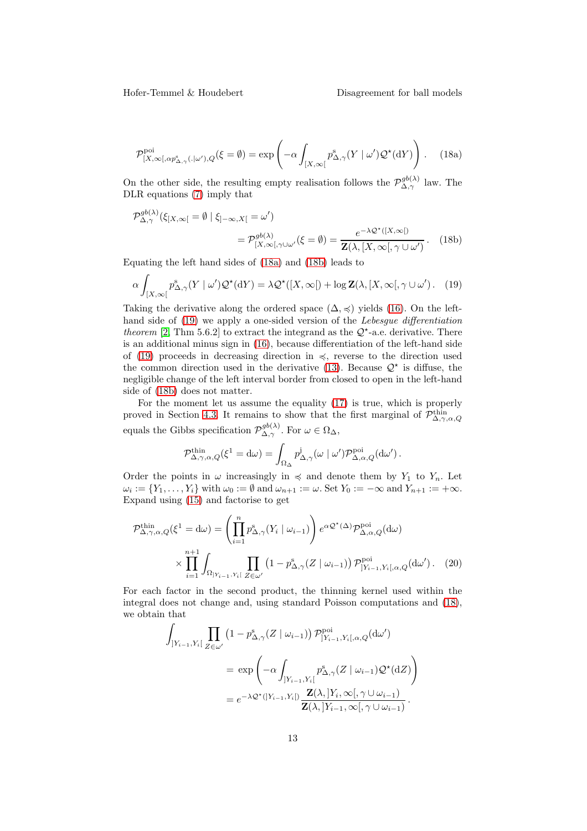<span id="page-12-0"></span>
$$
\mathcal{P}_{[X,\infty[,\alpha p^s_{\Delta,\gamma}(\cdot|\omega'),Q}^{\text{poi}}(\xi=\emptyset)=\exp\left(-\alpha\int_{[X,\infty[}p^s_{\Delta,\gamma}(Y\mid\omega')\mathcal{Q}^{\star}(\text{d}Y)\right).
$$
 (18a)

On the other side, the resulting empty realisation follows the  $\mathcal{P}_{\Delta,\gamma}^{gb(\lambda)}$  law. The DLR equations [\(7\)](#page-4-3) imply that

<span id="page-12-1"></span>
$$
\mathcal{P}_{\Delta,\gamma}^{gb(\lambda)}(\xi_{[X,\infty[}=\emptyset \mid \xi_{]-\infty,X[}=\omega'))
$$
  

$$
=\mathcal{P}_{[X,\infty[,\gamma\cup\omega']}^{gb(\lambda)}(\xi=\emptyset)=\frac{e^{-\lambda\mathcal{Q}^{\star}([X,\infty[)}\cdot \exp(\lambda))}{\mathbf{Z}(\lambda,[X,\infty[,\gamma\cup\omega'])}. \quad (18b)
$$

Equating the left hand sides of [\(18a\)](#page-12-0) and [\(18b\)](#page-12-1) leads to

<span id="page-12-2"></span>
$$
\alpha \int_{[X,\infty[} p^{\mathsf{s}}_{\Delta,\gamma}(Y \mid \omega') \mathcal{Q}^*(\mathrm{d}Y) = \lambda \mathcal{Q}^*([X,\infty[) + \log \mathbf{Z}(\lambda,[X,\infty[,\gamma \cup \omega') . \quad (19)
$$

Taking the derivative along the ordered space  $(\Delta, \preccurlyeq)$  yields [\(16\)](#page-11-5). On the left-hand side of [\(19\)](#page-12-2) we apply a one-sided version of the Lebesque differentiation theorem [\[2,](#page-20-10) Thm 5.6.2] to extract the integrand as the  $\mathcal{Q}^*$ -a.e. derivative. There is an additional minus sign in [\(16\)](#page-11-5), because differentiation of the left-hand side of [\(19\)](#page-12-2) proceeds in decreasing direction in  $\preccurlyeq$ , reverse to the direction used the common direction used in the derivative [\(13\)](#page-11-1). Because  $\mathcal{Q}^*$  is diffuse, the negligible change of the left interval border from closed to open in the left-hand side of [\(18b\)](#page-12-1) does not matter.

For the moment let us assume the equality [\(17\)](#page-11-6) is true, which is properly proved in Section [4.3.](#page-13-0) It remains to show that the first marginal of  $\mathcal{P}^{\text{thin}}_{\Delta,\gamma,\alpha,Q}$ equals the Gibbs specification  $\mathcal{P}_{\Delta,\gamma}^{gb(\lambda)}$ . For  $\omega \in \Omega_{\Delta}$ ,

<span id="page-12-3"></span>
$$
\mathcal{P}^{\text{thin}}_{\Delta,\gamma,\alpha,Q}(\xi^1=\mathrm{d}\omega)=\int_{\Omega_{\Delta}}p^{\mathrm{j}}_{\Delta,\gamma}(\omega\mid\omega')\mathcal{P}^{\text{poi}}_{\Delta,\alpha,Q}(\mathrm{d}\omega')\,.
$$

Order the points in  $\omega$  increasingly in  $\preccurlyeq$  and denote them by  $Y_1$  to  $Y_n$ . Let  $\omega_i := \{Y_1, \ldots, Y_i\}$  with  $\omega_0 := \emptyset$  and  $\omega_{n+1} := \omega$ . Set  $Y_0 := -\infty$  and  $Y_{n+1} := +\infty$ . Expand using [\(15\)](#page-11-7) and factorise to get

$$
\mathcal{P}^{\text{thin}}_{\Delta,\gamma,\alpha,Q}(\xi^1 = d\omega) = \left(\prod_{i=1}^n p_{\Delta,\gamma}^s(Y_i \mid \omega_{i-1})\right) e^{\alpha \mathcal{Q}^*(\Delta)} \mathcal{P}^{\text{poi}}_{\Delta,\alpha,Q}(d\omega)
$$

$$
\times \prod_{i=1}^{n+1} \int_{\Omega_{|Y_{i-1},Y_i|}} \prod_{Z \in \omega'} \left(1 - p_{\Delta,\gamma}^s(Z \mid \omega_{i-1})\right) \mathcal{P}^{\text{poi}}_{|Y_{i-1},Y_i|,\alpha,Q}(d\omega'). \quad (20)
$$

For each factor in the second product, the thinning kernel used within the integral does not change and, using standard Poisson computations and [\(18\)](#page-11-8), we obtain that

$$
\int_{|Y_{i-1},Y_i|} \prod_{Z \in \omega'} (1 - p_{\Delta,\gamma}^s(Z \mid \omega_{i-1})) \mathcal{P}_{|Y_{i-1},Y_i|,\alpha,Q}^{\text{poi}}(\text{d}\omega')
$$
\n
$$
= \exp\left(-\alpha \int_{|Y_{i-1},Y_i|} p_{\Delta,\gamma}^s(Z \mid \omega_{i-1}) \mathcal{Q}^{\star}(\text{d}Z)\right)
$$
\n
$$
= e^{-\lambda \mathcal{Q}^{\star}(|Y_{i-1},Y_i|)} \frac{\mathbf{Z}(\lambda,]Y_i, \infty[, \gamma \cup \omega_{i-1})}{\mathbf{Z}(\lambda,]Y_{i-1}, \infty[, \gamma \cup \omega_{i-1})}.
$$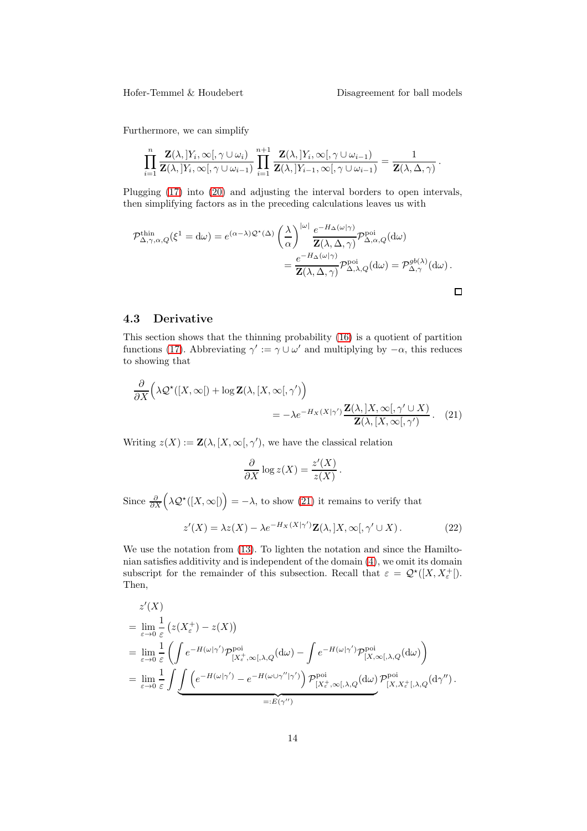Furthermore, we can simplify

$$
\prod_{i=1}^n \frac{\mathbf{Z}(\lambda, Y_i, \infty[, \gamma \cup \omega_i)}{\mathbf{Z}(\lambda, Y_i, \infty[, \gamma \cup \omega_{i-1})} \prod_{i=1}^{n+1} \frac{\mathbf{Z}(\lambda, Y_i, \infty[, \gamma \cup \omega_{i-1})}{\mathbf{Z}(\lambda, Y_{i-1}, \infty[, \gamma \cup \omega_{i-1})} = \frac{1}{\mathbf{Z}(\lambda, \Delta, \gamma)}.
$$

Plugging [\(17\)](#page-11-6) into [\(20\)](#page-12-3) and adjusting the interval borders to open intervals, then simplifying factors as in the preceding calculations leaves us with

$$
\mathcal{P}_{\Delta,\gamma,\alpha,Q}^{\text{thin}}(\xi^1 = d\omega) = e^{(\alpha-\lambda)\mathcal{Q}^{\star}(\Delta)} \left(\frac{\lambda}{\alpha}\right)^{|\omega|} \frac{e^{-H_{\Delta}(\omega|\gamma)}}{\mathbf{Z}(\lambda,\Delta,\gamma)} \mathcal{P}_{\Delta,\alpha,Q}^{\text{poi}}(d\omega)
$$

$$
= \frac{e^{-H_{\Delta}(\omega|\gamma)}}{\mathbf{Z}(\lambda,\Delta,\gamma)} \mathcal{P}_{\Delta,\lambda,Q}^{\text{poi}}(d\omega) = \mathcal{P}_{\Delta,\gamma}^{gb(\lambda)}(d\omega).
$$

### <span id="page-13-0"></span>4.3 Derivative

This section shows that the thinning probability [\(16\)](#page-11-5) is a quotient of partition functions [\(17\)](#page-11-6). Abbreviating  $\gamma' := \gamma \cup \omega'$  and multiplying by  $-\alpha$ , this reduces to showing that

$$
\frac{\partial}{\partial X} \left( \lambda \mathcal{Q}^{\star} ([X, \infty]) + \log \mathbf{Z} (\lambda, [X, \infty], \gamma') \right) \n= -\lambda e^{-H_X(X|\gamma')} \frac{\mathbf{Z} (\lambda, [X, \infty], \gamma' \cup X)}{\mathbf{Z} (\lambda, [X, \infty], \gamma')} .
$$
\n(21)

Writing  $z(X) := \mathbf{Z}(\lambda, [X, \infty], \gamma')$ , we have the classical relation

<span id="page-13-1"></span>
$$
\frac{\partial}{\partial X} \log z(X) = \frac{z'(X)}{z(X)}.
$$

Since  $\frac{\partial}{\partial X} (\lambda \mathcal{Q}^*(X,\infty[)) = -\lambda$ , to show [\(21\)](#page-13-1) it remains to verify that

<span id="page-13-2"></span>
$$
z'(X) = \lambda z(X) - \lambda e^{-H_X(X|\gamma')} \mathbf{Z}(\lambda,]X, \infty[, \gamma' \cup X).
$$
 (22)

We use the notation from [\(13\)](#page-11-1). To lighten the notation and since the Hamiltonian satisfies additivity and is independent of the domain [\(4\)](#page-3-5), we omit its domain subscript for the remainder of this subsection. Recall that  $\varepsilon = \mathcal{Q}^{\star}([X, X_{\varepsilon}^+])$ . Then,

$$
z'(X)
$$
  
=  $\lim_{\varepsilon \to 0} \frac{1}{\varepsilon} \left( z(X_{\varepsilon}^+) - z(X) \right)$   
=  $\lim_{\varepsilon \to 0} \frac{1}{\varepsilon} \left( \int e^{-H(\omega|\gamma')} \mathcal{P}_{[X_{\varepsilon}^+, \infty[, \lambda, Q]}^{Poi} (d\omega) - \int e^{-H(\omega|\gamma')} \mathcal{P}_{[X, \infty[, \lambda, Q]}^{Poi} (d\omega) \right)$   
=  $\lim_{\varepsilon \to 0} \frac{1}{\varepsilon} \int \underbrace{\int \left( e^{-H(\omega|\gamma')} - e^{-H(\omega \cup \gamma'|\gamma')} \right) \mathcal{P}_{[X_{\varepsilon}^+, \infty[, \lambda, Q]}^{Poi} (d\omega) \mathcal{P}_{[X, X_{\varepsilon}^+[, \lambda, Q]}^{Poi} (d\gamma'') }_{=:E(\gamma'')}.$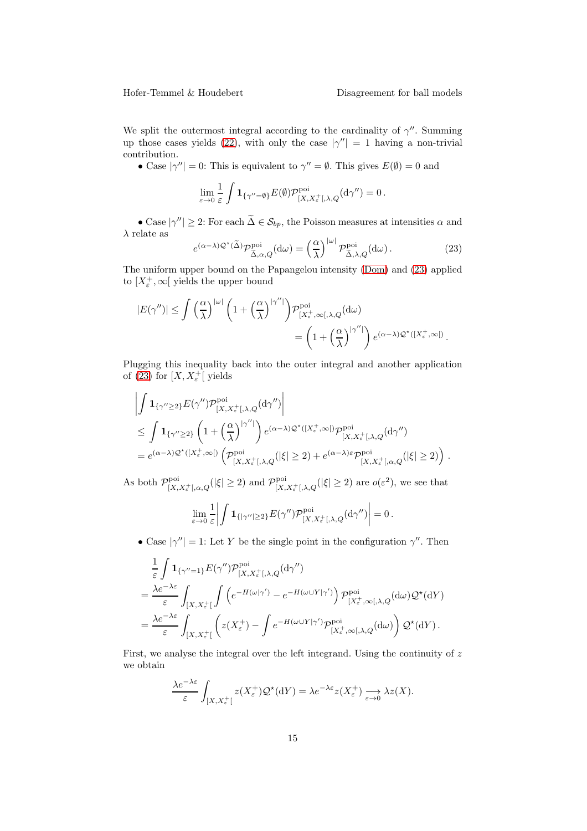We split the outermost integral according to the cardinality of  $\gamma''$ . Summing up those cases yields [\(22\)](#page-13-2), with only the case  $|\gamma''|=1$  having a non-trivial contribution.

• Case  $|\gamma''|=0$ : This is equivalent to  $\gamma''=\emptyset$ . This gives  $E(\emptyset)=0$  and

$$
\lim_{\varepsilon \to 0} \frac{1}{\varepsilon} \int \mathbf{1}_{\{\gamma'' = \emptyset\}} E(\emptyset) \mathcal{P}^{\rm poi}_{[X, X^+_{\varepsilon}[,\lambda,Q}(\mathrm{d}\gamma'') = 0 \,.
$$

• Case  $|\gamma''| \geq 2$ : For each  $\Delta \in \mathcal{S}_{bp}$ , the Poisson measures at intensities  $\alpha$  and  $\lambda$  relate as

<span id="page-14-0"></span>
$$
e^{(\alpha-\lambda)\mathcal{Q}^{\star}(\widetilde{\Delta})}\mathcal{P}_{\widetilde{\Delta},\alpha,Q}^{\text{poi}}(\text{d}\omega) = \left(\frac{\alpha}{\lambda}\right)^{|\omega|}\mathcal{P}_{\widetilde{\Delta},\lambda,Q}^{\text{poi}}(\text{d}\omega). \tag{23}
$$

The uniform upper bound on the Papangelou intensity [\(Dom\)](#page-5-8) and [\(23\)](#page-14-0) applied to  $[X_{\varepsilon}^+, \infty[$  yields the upper bound

$$
|E(\gamma'')| \leq \int \left(\frac{\alpha}{\lambda}\right)^{|\omega|} \left(1 + \left(\frac{\alpha}{\lambda}\right)^{|\gamma''|}\right) \mathcal{P}_{[X_{\varepsilon}^{+}, \infty[\lambda, \Omega]}^{\text{poi}}(\text{d}\omega)
$$
  
= 
$$
\left(1 + \left(\frac{\alpha}{\lambda}\right)^{|\gamma''|}\right) e^{(\alpha-\lambda)\mathcal{Q}^{\star}([X_{\varepsilon}^{+}, \infty[)}.
$$

Plugging this inequality back into the outer integral and another application of [\(23\)](#page-14-0) for  $[X, X^+_{\varepsilon}]$  yields

$$
\left| \int \mathbf{1}_{\{\gamma'' \geq 2\}} E(\gamma'') \mathcal{P}_{[X, X_{\epsilon}^+] , \lambda, Q}^{poi} (d\gamma'') \right|
$$
  
\n
$$
\leq \int \mathbf{1}_{\{\gamma'' \geq 2\}} \left( 1 + \left( \frac{\alpha}{\lambda} \right)^{|\gamma''|} \right) e^{(\alpha - \lambda) \mathcal{Q}^*([X_{\epsilon}^+, \infty[)} \mathcal{P}_{[X, X_{\epsilon}^+] , \lambda, Q}^{poi} (d\gamma'')\n= e^{(\alpha - \lambda) \mathcal{Q}^*([X_{\epsilon}^+, \infty[)} \left( \mathcal{P}_{[X, X_{\epsilon}^+] , \lambda, Q}^{poi} (|\xi| \geq 2) + e^{(\alpha - \lambda) \varepsilon} \mathcal{P}_{[X, X_{\epsilon}^+] , \alpha, Q}^{poi} (|\xi| \geq 2) \right).
$$

As both  $\mathcal{P}^{\text{poi}}_{[X,X^+_{\varepsilon}],\alpha,Q}(|\xi|\geq 2)$  and  $\mathcal{P}^{\text{poi}}_{[X,X^+_{\varepsilon}],\lambda,Q}(|\xi|\geq 2)$  are  $o(\varepsilon^2)$ , we see that

$$
\lim_{\varepsilon\to 0}\frac{1}{\varepsilon}\bigg|\int\mathbf{1}_{\{|\gamma''|\geq2\}}E(\gamma'')\mathcal{P}^{\mathrm{pol}}_{[X,X_{\varepsilon}^+[,\lambda,Q}(\mathrm{d}\gamma'')\bigg|=0\,.
$$

• Case  $|\gamma''|=1$ : Let Y be the single point in the configuration  $\gamma''$ . Then

$$
\begin{split} &\frac{1}{\varepsilon}\int\mathbf{1}_{\{\gamma''=1\}}E(\gamma'')\mathcal{P}^{\rm poi}_{[X,X_\varepsilon^+],\lambda,Q}(\mathrm{d}\gamma'')\\ &=\frac{\lambda e^{-\lambda\varepsilon}}{\varepsilon}\int_{[X,X_\varepsilon^+]}\int\left(e^{-H(\omega|\gamma')}-e^{-H(\omega\cup Y|\gamma')}\right)\mathcal{P}^{\rm poi}_{[X_\varepsilon^+,\infty[,\lambda,Q}(\mathrm{d}\omega)\mathcal{Q}^\star(\mathrm{d} Y)\\ &=\frac{\lambda e^{-\lambda\varepsilon}}{\varepsilon}\int_{[X,X_\varepsilon^+]}\left(z(X_\varepsilon^+)-\int e^{-H(\omega\cup Y|\gamma')}\mathcal{P}^{\rm poi}_{[X_\varepsilon^+,\infty[,\lambda,Q}(\mathrm{d}\omega)\right)\mathcal{Q}^\star(\mathrm{d} Y)\,. \end{split}
$$

First, we analyse the integral over the left integrand. Using the continuity of  $z$ we obtain

$$
\frac{\lambda e^{-\lambda \varepsilon}}{\varepsilon} \int_{[X,X_{\varepsilon}^+]} z(X_{\varepsilon}^+) \mathcal{Q}^{\star}(\mathrm{d}Y) = \lambda e^{-\lambda \varepsilon} z(X_{\varepsilon}^+) \xrightarrow[\varepsilon \to 0]{} \lambda z(X).
$$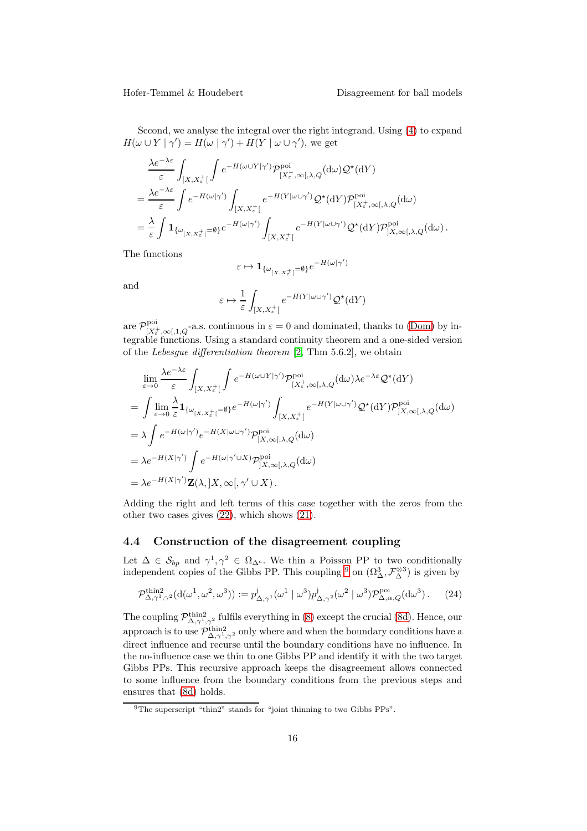Second, we analyse the integral over the right integrand. Using [\(4\)](#page-3-5) to expand  $H(\omega \cup Y | \gamma') = H(\omega | \gamma') + H(Y | \omega \cup \gamma')$ , we get

$$
\frac{\lambda e^{-\lambda \varepsilon}}{\varepsilon} \int_{[X, X_{\varepsilon}^{+}]} \int e^{-H(\omega \cup Y|\gamma')} \mathcal{P}_{[X_{\varepsilon}^{+}, \infty[, \lambda, Q}^{\text{poi}}(\mathrm{d}\omega) \mathcal{Q}^{\star}(\mathrm{d}Y)
$$
\n
$$
= \frac{\lambda e^{-\lambda \varepsilon}}{\varepsilon} \int e^{-H(\omega|\gamma')} \int_{[X, X_{\varepsilon}^{+}]} e^{-H(Y|\omega \cup \gamma')} \mathcal{Q}^{\star}(\mathrm{d}Y) \mathcal{P}_{[X_{\varepsilon}^{+}, \infty[, \lambda, Q}^{\text{poi}}(\mathrm{d}\omega)
$$
\n
$$
= \frac{\lambda}{\varepsilon} \int \mathbf{1}_{\{\omega_{[X, X_{\varepsilon}^{+}]} = \emptyset\}} e^{-H(\omega|\gamma')} \int_{[X, X_{\varepsilon}^{+}]} e^{-H(Y|\omega \cup \gamma')} \mathcal{Q}^{\star}(\mathrm{d}Y) \mathcal{P}_{]X, \infty[, \lambda, Q}^{\text{poi}}(\mathrm{d}\omega).
$$

The functions

$$
\varepsilon\mapsto{\bf 1}_{\{\omega_{[X,X_\varepsilon^+]}=\emptyset\}}e^{-H(\omega|\gamma')}
$$

and

$$
\varepsilon \mapsto \frac{1}{\varepsilon} \int_{[X,X^+_\varepsilon[} e^{-H(Y|\omega \cup \gamma')}\mathcal{Q}^\star(\mathrm{d} Y)
$$

are  $\mathcal{P}_{[X_{\varepsilon}^{\pm}, \infty[,1], Q}^{\text{pol}}$ -a.s. continuous in  $\varepsilon = 0$  and dominated, thanks to [\(Dom\)](#page-5-8) by integrable functions. Using a standard continuity theorem and a one-sided version of the Lebesgue differentiation theorem [\[2,](#page-20-10) Thm 5.6.2], we obtain

$$
\lim_{\varepsilon \to 0} \frac{\lambda e^{-\lambda \varepsilon}}{\varepsilon} \int_{[X, X_{\varepsilon}^{+}]} \int e^{-H(\omega \cup Y|\gamma')} \mathcal{P}_{[X_{\varepsilon}^{+}, \infty[\lambda, Q]}^{Poi}(\mathrm{d}\omega) \lambda e^{-\lambda \varepsilon} \mathcal{Q}^{*}(\mathrm{d}Y)
$$
\n
$$
= \int \lim_{\varepsilon \to 0} \frac{\lambda}{\varepsilon} \mathbf{1}_{\{\omega_{[X, X_{\varepsilon}^{+}]} = \emptyset\}} e^{-H(\omega|\gamma')} \int_{[X, X_{\varepsilon}^{+}]} e^{-H(Y|\omega \cup \gamma')} \mathcal{Q}^{*}(\mathrm{d}Y) \mathcal{P}_{]X, \infty[\lambda, Q]}^{Poi}(\mathrm{d}\omega)
$$
\n
$$
= \lambda \int e^{-H(\omega|\gamma')} e^{-H(X|\omega \cup \gamma')} \mathcal{P}_{]X, \infty[\lambda, Q]}^{Poi}(\mathrm{d}\omega)
$$
\n
$$
= \lambda e^{-H(X|\gamma')} \int e^{-H(\omega|\gamma' \cup X)} \mathcal{P}_{]X, \infty[\lambda, Q]}^{Poi}(\mathrm{d}\omega)
$$
\n
$$
= \lambda e^{-H(X|\gamma')} \mathbf{Z}(\lambda, ]X, \infty[, \gamma' \cup X).
$$

Adding the right and left terms of this case together with the zeros from the other two cases gives [\(22\)](#page-13-2), which shows [\(21\)](#page-13-1).

### <span id="page-15-0"></span>4.4 Construction of the disagreement coupling

Let  $\Delta \in \mathcal{S}_{bp}$  and  $\gamma^1, \gamma^2 \in \Omega_{\Delta^c}$ . We thin a Poisson PP to two conditionally independent copies of the Gibbs PP. This coupling <sup>[9](#page-15-1)</sup> on  $(\Omega_{\Delta}^3, \mathcal{F}_{\Delta}^{\otimes 3})$  is given by

$$
\mathcal{P}^{\text{thin2}}_{\Delta,\gamma^1,\gamma^2}(\text{d}(\omega^1,\omega^2,\omega^3)) := p^j_{\Delta,\gamma^1}(\omega^1 \mid \omega^3) p^j_{\Delta,\gamma^2}(\omega^2 \mid \omega^3) \mathcal{P}^{\text{poi}}_{\Delta,\alpha,Q}(\text{d}\omega^3). \tag{24}
$$

The coupling  $\mathcal{P}_{\Delta,\gamma^1,\gamma^2}^{\text{thin2}}$  fulfils everything in [\(8\)](#page-5-10) except the crucial [\(8d\)](#page-5-7). Hence, our approach is to use  $\mathcal{P}_{\Delta,\gamma^1,\gamma^2}^{\text{thin2}}$  only where and when the boundary conditions have a direct influence and recurse until the boundary conditions have no influence. In the no-influence case we thin to one Gibbs PP and identify it with the two target Gibbs PPs. This recursive approach keeps the disagreement allows connected to some influence from the boundary conditions from the previous steps and ensures that [\(8d\)](#page-5-7) holds.

<span id="page-15-1"></span><sup>9</sup>The superscript "thin2" stands for "joint thinning to two Gibbs PPs".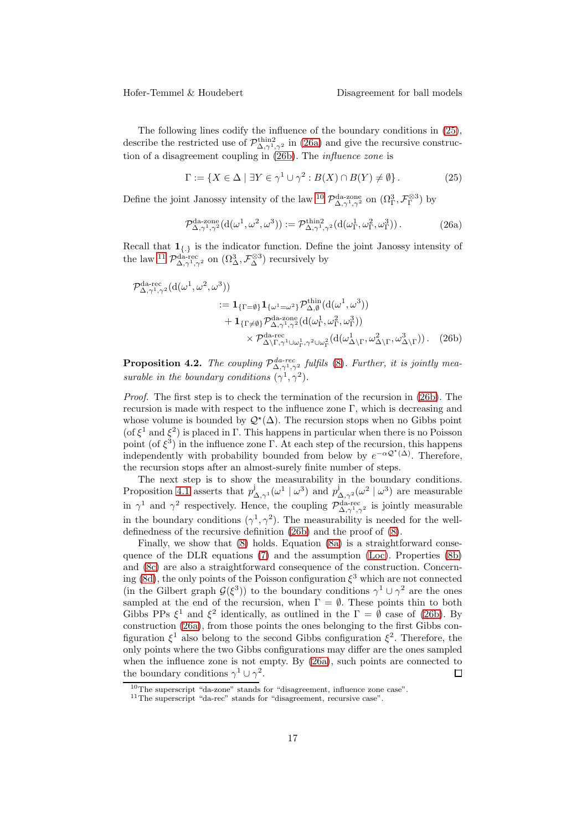The following lines codify the influence of the boundary conditions in [\(25\)](#page-16-0), describe the restricted use of  $\mathcal{P}^{\text{thin2}}_{\Delta,\gamma^1,\gamma^2}$  in [\(26a\)](#page-16-1) and give the recursive construction of a disagreement coupling in [\(26b\)](#page-16-2). The influence zone is

<span id="page-16-0"></span>
$$
\Gamma := \{ X \in \Delta \mid \exists Y \in \gamma^1 \cup \gamma^2 : B(X) \cap B(Y) \neq \emptyset \}.
$$
 (25)

Define the joint Janossy intensity of the law <sup>[10](#page-16-3)</sup>  $\mathcal{P}^{\text{da-zone}}_{\Delta,\gamma^1,\gamma^2}$  on  $(\Omega^3_\Gamma,\mathcal{F}^{\otimes 3}_\Gamma)$  by

<span id="page-16-2"></span><span id="page-16-1"></span>
$$
\mathcal{P}_{\Delta,\gamma^1,\gamma^2}^{\mathrm{da\text{-}zone}}(\mathrm{d}(\omega^1,\omega^2,\omega^3)) := \mathcal{P}_{\Delta,\gamma^1,\gamma^2}^{\mathrm{thin2}}(\mathrm{d}(\omega_\Gamma^1,\omega_\Gamma^2,\omega_\Gamma^3)).\tag{26a}
$$

Recall that  $\mathbf{1}_{\{.\}}$  is the indicator function. Define the joint Janossy intensity of the law <sup>[11](#page-16-4)</sup>  $\mathcal{P}_{\Delta,\gamma^1,\gamma^2}^{\text{da-rec}}$  on  $(\Omega_\Delta^3,\mathcal{F}_\Delta^{\otimes 3})$  recursively by

$$
\mathcal{P}_{\Delta,\gamma^1,\gamma^2}^{\mathrm{da\text{-}rec}}(\mathrm{d}(\omega^1,\omega^2,\omega^3))
$$
\n
$$
:= \mathbf{1}_{\{\Gamma=\emptyset\}} \mathbf{1}_{\{\omega^1=\omega^2\}} \mathcal{P}_{\Delta,\emptyset}^{\mathrm{thin}}(\mathrm{d}(\omega^1,\omega^3))
$$
\n
$$
+ \mathbf{1}_{\{\Gamma\neq\emptyset\}} \mathcal{P}_{\Delta,\gamma^1,\gamma^2}^{\mathrm{da\text{-}zone}}(\mathrm{d}(\omega^1_\Gamma,\omega^2_\Gamma,\omega^3_\Gamma))
$$
\n
$$
\times \mathcal{P}_{\Delta\backslash\Gamma,\gamma^1\cup\omega^1_\Gamma,\gamma^2\cup\omega^2_\Gamma}^{\mathrm{da\text{-}rec}}(\mathrm{d}(\omega^1_{\Delta\backslash\Gamma},\omega^2_{\Delta\backslash\Gamma},\omega^3_{\Delta\backslash\Gamma})). \quad (26b)
$$

**Proposition 4.2.** The coupling  $\mathcal{P}_{\Delta,\gamma^1,\gamma^2}^{da\text{-rec}}$  fulfils [\(8\)](#page-5-10). Further, it is jointly measurable in the boundary conditions  $(\gamma^1, \gamma^2)$ .

Proof. The first step is to check the termination of the recursion in [\(26b\)](#page-16-2). The recursion is made with respect to the influence zone Γ, which is decreasing and whose volume is bounded by  $\mathcal{Q}^*(\Delta)$ . The recursion stops when no Gibbs point (of  $\xi^1$  and  $\xi^2$ ) is placed in Γ. This happens in particular when there is no Poisson point (of  $\xi^3$ ) in the influence zone Γ. At each step of the recursion, this happens independently with probability bounded from below by  $e^{-\alpha Q^{\star}(\Delta)}$ . Therefore, the recursion stops after an almost-surely finite number of steps.

The next step is to show the measurability in the boundary conditions. Proposition [4.1](#page-11-9) asserts that  $p_{\Delta,\gamma^1}^j(\omega^1 \mid \omega^3)$  and  $p_{\Delta,\gamma^2}^j(\omega^2 \mid \omega^3)$  are measurable in  $\gamma^1$  and  $\gamma^2$  respectively. Hence, the coupling  $\mathcal{P}^{\text{da-rec}}_{\Delta,\gamma^1,\gamma^2}$  is jointly measurable in the boundary conditions  $(\gamma^1, \gamma^2)$ . The measurability is needed for the welldefinedness of the recursive definition [\(26b\)](#page-16-2) and the proof of [\(8\)](#page-5-10).

Finally, we show that [\(8\)](#page-5-10) holds. Equation [\(8a\)](#page-5-4) is a straightforward consequence of the DLR equations [\(7\)](#page-4-3) and the assumption [\(Loc\)](#page-5-9). Properties [\(8b\)](#page-5-5) and [\(8c\)](#page-5-6) are also a straightforward consequence of the construction. Concern-ing [\(8d\)](#page-5-7), the only points of the Poisson configuration  $\xi^3$  which are not connected (in the Gilbert graph  $\mathcal{G}(\xi^3)$ ) to the boundary conditions  $\gamma^1 \cup \gamma^2$  are the ones sampled at the end of the recursion, when  $\Gamma = \emptyset$ . These points thin to both Gibbs PPs  $\xi^1$  and  $\xi^2$  identically, as outlined in the  $\Gamma = \emptyset$  case of [\(26b\)](#page-16-2). By construction [\(26a\)](#page-16-1), from those points the ones belonging to the first Gibbs configuration  $\xi^1$  also belong to the second Gibbs configuration  $\xi^2$ . Therefore, the only points where the two Gibbs configurations may differ are the ones sampled when the influence zone is not empty. By [\(26a\)](#page-16-1), such points are connected to the boundary conditions  $\gamma^1 \cup \gamma^2$ .  $\Box$ 

<sup>10</sup>The superscript "da-zone" stands for "disagreement, influence zone case".

<span id="page-16-4"></span><span id="page-16-3"></span><sup>&</sup>lt;sup>11</sup>The superscript "da-rec" stands for "disagreement, recursive case".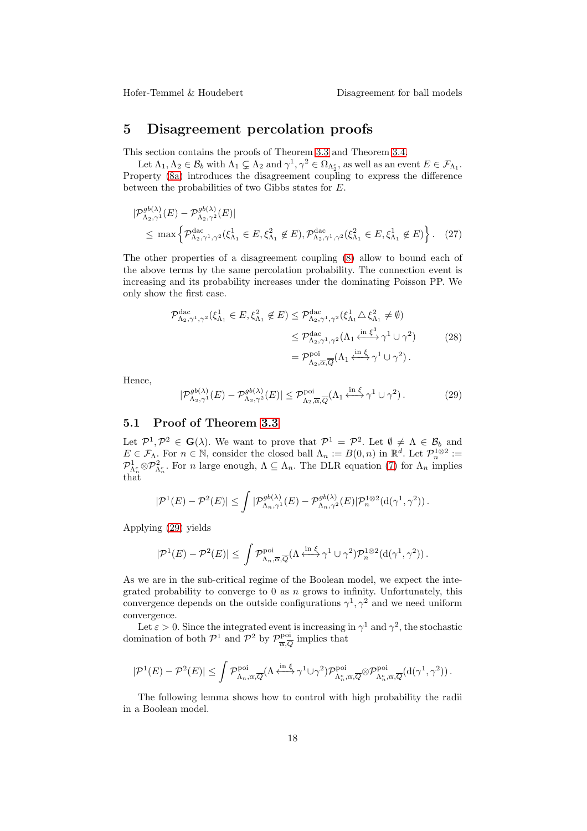# <span id="page-17-0"></span>5 Disagreement percolation proofs

This section contains the proofs of Theorem [3.3](#page-6-2) and Theorem [3.4.](#page-6-3)

Let  $\Lambda_1, \Lambda_2 \in \mathcal{B}_b$  with  $\Lambda_1 \subsetneq \Lambda_2$  and  $\gamma^1, \gamma^2 \in \Omega_{\Lambda_2^c}$ , as well as an event  $E \in \mathcal{F}_{\Lambda_1}$ . Property [\(8a\)](#page-5-4) introduces the disagreement coupling to express the difference between the probabilities of two Gibbs states for E.

$$
|\mathcal{P}_{\Lambda_2,\gamma^1}^{gb(\lambda)}(E) - \mathcal{P}_{\Lambda_2,\gamma^2}^{gb(\lambda)}(E)|
$$
  
\$\leq\$ max  $\left\{ \mathcal{P}_{\Lambda_2,\gamma^1,\gamma^2}^{dac}(\xi_{\Lambda_1}^1 \in E, \xi_{\Lambda_1}^2 \notin E), \mathcal{P}_{\Lambda_2,\gamma^1,\gamma^2}^{dac}(\xi_{\Lambda_1}^2 \in E, \xi_{\Lambda_1}^1 \notin E) \right\}.$  (27)

The other properties of a disagreement coupling [\(8\)](#page-5-10) allow to bound each of the above terms by the same percolation probability. The connection event is increasing and its probability increases under the dominating Poisson PP. We only show the first case.

<span id="page-17-4"></span><span id="page-17-3"></span>
$$
\mathcal{P}^{\text{dac}}_{\Lambda_2,\gamma^1,\gamma^2}(\xi^1_{\Lambda_1} \in E, \xi^2_{\Lambda_1} \notin E) \leq \mathcal{P}^{\text{dac}}_{\Lambda_2,\gamma^1,\gamma^2}(\xi^1_{\Lambda_1} \triangle \xi^2_{\Lambda_1} \neq \emptyset)
$$
  

$$
\leq \mathcal{P}^{\text{dac}}_{\Lambda_2,\gamma^1,\gamma^2}(\Lambda_1 \xleftarrow{\text{in } \xi^3} \gamma^1 \cup \gamma^2)
$$
  

$$
= \mathcal{P}^{\text{poi}}_{\Lambda_2,\overline{\alpha},\overline{Q}}(\Lambda_1 \xleftarrow{\text{in } \xi} \gamma^1 \cup \gamma^2).
$$
 (28)

Hence,

<span id="page-17-2"></span>
$$
|\mathcal{P}_{\Lambda_2,\gamma^1}^{gb(\lambda)}(E) - \mathcal{P}_{\Lambda_2,\gamma^2}^{gb(\lambda)}(E)| \leq \mathcal{P}_{\Lambda_2,\overline{\alpha},\overline{Q}}^{\text{poi}}(\Lambda_1 \stackrel{\text{in } \xi}{\longleftrightarrow} \gamma^1 \cup \gamma^2).
$$
 (29)

### <span id="page-17-1"></span>5.1 Proof of Theorem [3.3](#page-6-2)

Let  $\mathcal{P}^1, \mathcal{P}^2 \in \mathbf{G}(\lambda)$ . We want to prove that  $\mathcal{P}^1 = \mathcal{P}^2$ . Let  $\emptyset \neq \Lambda \in \mathcal{B}_b$  and  $E \in \mathcal{F}_{\Lambda}$ . For  $n \in \mathbb{N}$ , consider the closed ball  $\Lambda_n := B(0, n)$  in  $\mathbb{R}^d$ . Let  $\mathcal{P}_n^{1 \otimes 2} :=$  $\mathcal{P}^1_{\Lambda_n^c} \otimes \mathcal{P}^2_{\Lambda_n^c}$ . For *n* large enough,  $\Lambda \subseteq \Lambda_n$ . The DLR equation [\(7\)](#page-4-3) for  $\Lambda_n$  implies that

$$
|\mathcal{P}^1(E) - \mathcal{P}^2(E)| \leq \int |\mathcal{P}^{gb(\lambda)}_{\Lambda_n,\gamma^1}(E) - \mathcal{P}^{gb(\lambda)}_{\Lambda_n,\gamma^2}(E)|\mathcal{P}^{1\otimes 2}_n(\mathrm{d}(\gamma^1,\gamma^2)).
$$

Applying [\(29\)](#page-17-2) yields

$$
|\mathcal{P}^1(E)-\mathcal{P}^2(E)|\leq \int \mathcal{P}^{\rm poi}_{\Lambda_n,\overline{\alpha},\overline{Q}}(\Lambda \stackrel{\rm in}{\longleftrightarrow} \gamma^1\cup \gamma^2)\mathcal{P}^{1\otimes 2}_n({\rm d}(\gamma^1,\gamma^2))\,.
$$

As we are in the sub-critical regime of the Boolean model, we expect the integrated probability to converge to  $0$  as  $n$  grows to infinity. Unfortunately, this convergence depends on the outside configurations  $\gamma^1, \gamma^2$  and we need uniform convergence.

Let  $\varepsilon > 0$ . Since the integrated event is increasing in  $\gamma^1$  and  $\gamma^2$ , the stochastic domination of both  $\mathcal{P}^1$  and  $\mathcal{P}^2$  by  $\mathcal{P}^{\text{pol}}_{\overline{z},\overline{z}}$  $\frac{\partial P^{\text{ol}}}{\partial \alpha, Q}$  implies that

$$
|\mathcal{P}^{1}(E) - \mathcal{P}^{2}(E)| \leq \int \mathcal{P}^{\text{poi}}_{\Lambda_n, \overline{\alpha}, \overline{Q}} (\Lambda \stackrel{\text{in } \xi}{\longleftrightarrow} \gamma^1 \cup \gamma^2) \mathcal{P}^{\text{poi}}_{\Lambda_n^c, \overline{\alpha}, \overline{Q}} \otimes \mathcal{P}^{\text{poi}}_{\Lambda_n^c, \overline{\alpha}, \overline{Q}} (\text{d}(\gamma^1, \gamma^2)).
$$

The following lemma shows how to control with high probability the radii in a Boolean model.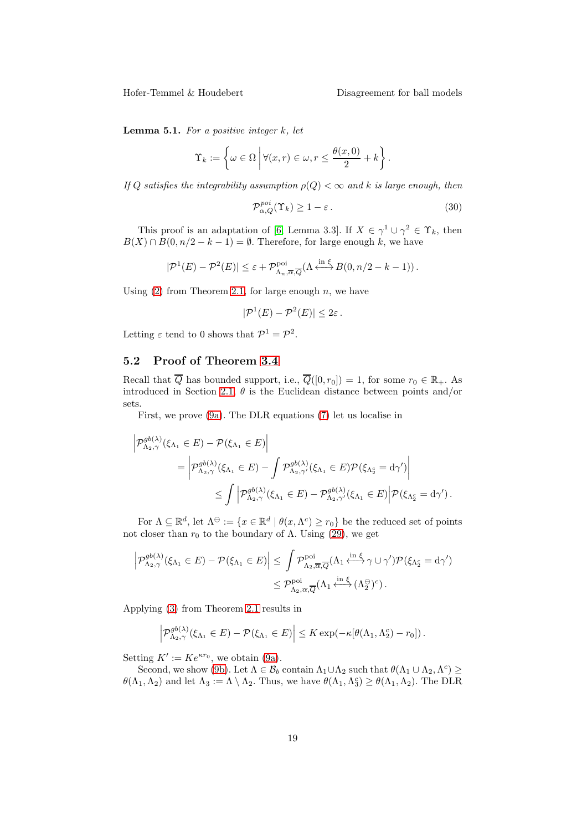<span id="page-18-1"></span>**Lemma 5.1.** For a positive integer  $k$ , let

$$
\Upsilon_k := \left\{ \omega \in \Omega \, \bigg| \, \forall (x,r) \in \omega, r \leq \frac{\theta(x,0)}{2} + k \right\}.
$$

If Q satisfies the integrability assumption  $\rho(Q) < \infty$  and k is large enough, then

$$
\mathcal{P}_{\alpha,Q}^{poi}(\Upsilon_k) \ge 1 - \varepsilon. \tag{30}
$$

This proof is an adaptation of [\[6,](#page-20-6) Lemma 3.3]. If  $X \in \gamma^1 \cup \gamma^2 \in \Upsilon_k$ , then  $B(X) \cap B(0, n/2 - k - 1) = \emptyset$ . Therefore, for large enough k, we have

$$
|\mathcal{P}^1(E) - \mathcal{P}^2(E)| \leq \varepsilon + \mathcal{P}^{\text{poi}}_{\Lambda_n, \overline{\alpha}, \overline{Q}} \left(\Lambda \stackrel{\text{in } \xi}{\longleftrightarrow} B(0, n/2 - k - 1)\right).
$$

Using  $(2)$  from Theorem [2.1,](#page-3-7) for large enough n, we have

$$
|\mathcal{P}^1(E) - \mathcal{P}^2(E)| \leq 2\varepsilon.
$$

Letting  $\varepsilon$  tend to 0 shows that  $\mathcal{P}^1 = \mathcal{P}^2$ .

### <span id="page-18-0"></span>5.2 Proof of Theorem [3.4](#page-6-3)

Recall that  $\overline{Q}$  has bounded support, i.e.,  $\overline{Q}([0, r_0]) = 1$ , for some  $r_0 \in \mathbb{R}_+$ . As introduced in Section [2.1,](#page-2-1)  $\theta$  is the Euclidean distance between points and/or sets.

First, we prove [\(9a\)](#page-6-4). The DLR equations [\(7\)](#page-4-3) let us localise in

$$
\left| \mathcal{P}_{\Lambda_2,\gamma}^{gb(\lambda)}(\xi_{\Lambda_1} \in E) - \mathcal{P}(\xi_{\Lambda_1} \in E) \right|
$$
  
= 
$$
\left| \mathcal{P}_{\Lambda_2,\gamma}^{gb(\lambda)}(\xi_{\Lambda_1} \in E) - \int \mathcal{P}_{\Lambda_2,\gamma'}^{gb(\lambda)}(\xi_{\Lambda_1} \in E) \mathcal{P}(\xi_{\Lambda_2} = d\gamma') \right|
$$
  

$$
\leq \int \left| \mathcal{P}_{\Lambda_2,\gamma}^{gb(\lambda)}(\xi_{\Lambda_1} \in E) - \mathcal{P}_{\Lambda_2,\gamma'}^{gb(\lambda)}(\xi_{\Lambda_1} \in E) \right| \mathcal{P}(\xi_{\Lambda_2} = d\gamma').
$$

For  $\Lambda \subseteq \mathbb{R}^d$ , let  $\Lambda^{\ominus} := \{x \in \mathbb{R}^d \mid \theta(x, \Lambda^c) \ge r_0\}$  be the reduced set of points not closer than  $r_0$  to the boundary of  $\Lambda$ . Using [\(29\)](#page-17-2), we get

$$
\left| \mathcal{P}_{\Lambda_2,\gamma}^{gb(\lambda)}(\xi_{\Lambda_1} \in E) - \mathcal{P}(\xi_{\Lambda_1} \in E) \right| \leq \int \mathcal{P}_{\Lambda_2,\overline{\alpha},\overline{Q}}^{\text{poi}}(\Lambda_1 \xleftarrow{\text{in } \xi} \gamma \cup \gamma') \mathcal{P}(\xi_{\Lambda_2^c} = d\gamma') \leq \mathcal{P}_{\Lambda_2,\overline{\alpha},\overline{Q}}^{\text{poi}}(\Lambda_1 \xleftarrow{\text{in } \xi} (\Lambda_2^{\ominus})^c).
$$

Applying [\(3\)](#page-3-4) from Theorem [2.1](#page-3-7) results in

$$
\left|\mathcal{P}_{\Lambda_2,\gamma}^{gb(\lambda)}(\xi_{\Lambda_1}\in E)-\mathcal{P}(\xi_{\Lambda_1}\in E)\right|\leq K\exp(-\kappa[\theta(\Lambda_1,\Lambda_2^c)-r_0]).
$$

Setting  $K' := Ke^{\kappa r_0}$ , we obtain [\(9a\)](#page-6-4).

Second, we show [\(9b\)](#page-6-5). Let  $\Lambda \in \mathcal{B}_b$  contain  $\Lambda_1 \cup \Lambda_2$  such that  $\theta(\Lambda_1 \cup \Lambda_2, \Lambda^c) \geq$  $\theta(\Lambda_1, \Lambda_2)$  and let  $\Lambda_3 := \Lambda \setminus \Lambda_2$ . Thus, we have  $\theta(\Lambda_1, \Lambda_3^c) \ge \theta(\Lambda_1, \Lambda_2)$ . The DLR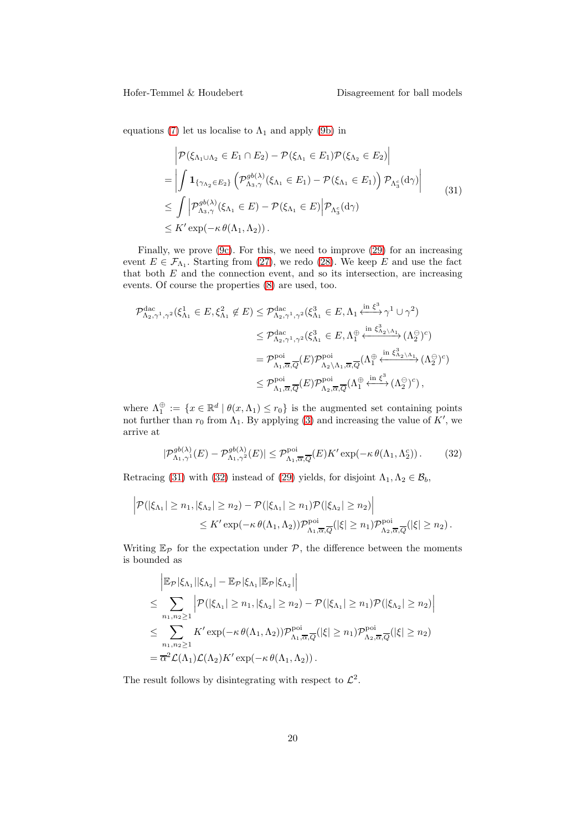equations [\(7\)](#page-4-3) let us localise to  $\Lambda_1$  and apply [\(9b\)](#page-6-5) in

<span id="page-19-0"></span>
$$
\left| \mathcal{P}(\xi_{\Lambda_1 \cup \Lambda_2} \in E_1 \cap E_2) - \mathcal{P}(\xi_{\Lambda_1} \in E_1) \mathcal{P}(\xi_{\Lambda_2} \in E_2) \right|
$$
\n
$$
= \left| \int \mathbf{1}_{\{\gamma_{\Lambda_2} \in E_2\}} \left( \mathcal{P}_{\Lambda_3, \gamma}^{gb(\lambda)}(\xi_{\Lambda_1} \in E_1) - \mathcal{P}(\xi_{\Lambda_1} \in E_1) \right) \mathcal{P}_{\Lambda_3^c}(\mathrm{d}\gamma) \right|
$$
\n
$$
\leq \int \left| \mathcal{P}_{\Lambda_3, \gamma}^{gb(\lambda)}(\xi_{\Lambda_1} \in E) - \mathcal{P}(\xi_{\Lambda_1} \in E) \right| \mathcal{P}_{\Lambda_3^c}(\mathrm{d}\gamma)
$$
\n
$$
\leq K' \exp(-\kappa \theta(\Lambda_1, \Lambda_2)).
$$
\n(31)

Finally, we prove [\(9c\)](#page-6-6). For this, we need to improve [\(29\)](#page-17-2) for an increasing event  $E \in \mathcal{F}_{\Lambda_1}$ . Starting from [\(27\)](#page-17-3), we redo [\(28\)](#page-17-4). We keep E and use the fact that both  $E$  and the connection event, and so its intersection, are increasing events. Of course the properties [\(8\)](#page-5-10) are used, too.

$$
\begin{aligned} \mathcal{P}^{\text{dac}}_{\Lambda_2,\gamma^1,\gamma^2}(\xi^1_{\Lambda_1} \in E, \xi^2_{\Lambda_1} \notin E) & \leq \mathcal{P}^{\text{dac}}_{\Lambda_2,\gamma^1,\gamma^2}(\xi^3_{\Lambda_1} \in E, \Lambda_1 \xleftarrow{\text{in } \xi^3} \gamma^1 \cup \gamma^2) \\ & \leq \mathcal{P}^{\text{dac}}_{\Lambda_2,\gamma^1,\gamma^2}(\xi^3_{\Lambda_1} \in E, \Lambda_1^{\oplus} \xleftarrow{\text{in } \xi^3_{\Lambda_2 \setminus \Lambda_1}} (\Lambda_2^{\ominus})^c) \\ & = \mathcal{P}^{\text{poi}}_{\Lambda_1, \overline{\alpha}, \overline{Q}}(E) \mathcal{P}^{\text{poi}}_{\Lambda_2 \setminus \Lambda_1, \overline{\alpha}, \overline{Q}}(\Lambda_1^{\oplus} \xleftarrow{\text{in } \xi^3_{\Lambda_2 \setminus \Lambda_1}} (\Lambda_2^{\ominus})^c) \\ & \leq \mathcal{P}^{\text{poi}}_{\Lambda_1, \overline{\alpha}, \overline{Q}}(E) \mathcal{P}^{\text{poi}}_{\Lambda_2, \overline{\alpha}, \overline{Q}}(\Lambda_1^{\oplus} \xleftarrow{\text{in } \xi^3} (\Lambda_2^{\ominus})^c), \end{aligned}
$$

where  $\Lambda_1^{\oplus} := \{x \in \mathbb{R}^d \mid \theta(x, \Lambda_1) \leq r_0\}$  is the augmented set containing points not further than  $r_0$  from  $\Lambda_1$ . By applying [\(3\)](#page-3-4) and increasing the value of K', we arrive at

<span id="page-19-1"></span>
$$
|\mathcal{P}_{\Lambda_1,\gamma^1}^{gb(\lambda)}(E) - \mathcal{P}_{\Lambda_1,\gamma^2}^{gb(\lambda)}(E)| \le \mathcal{P}_{\Lambda_1,\overline{\alpha},\overline{Q}}^{\text{poi}}(E) K' \exp(-\kappa \theta(\Lambda_1,\Lambda_2^c))\,. \tag{32}
$$

Retracing [\(31\)](#page-19-0) with [\(32\)](#page-19-1) instead of [\(29\)](#page-17-2) yields, for disjoint  $\Lambda_1, \Lambda_2 \in \mathcal{B}_b$ ,

$$
\left| \mathcal{P}(|\xi_{\Lambda_1}| \geq n_1, |\xi_{\Lambda_2}| \geq n_2) - \mathcal{P}(|\xi_{\Lambda_1}| \geq n_1)\mathcal{P}(|\xi_{\Lambda_2}| \geq n_2) \right|
$$
  
\$\leq K' \exp(-\kappa \theta(\Lambda\_1, \Lambda\_2))\mathcal{P}^{\text{poi}}\_{\Lambda\_1, \overline{\alpha}, \overline{Q}}(|\xi| \geq n\_1)\mathcal{P}^{\text{poi}}\_{\Lambda\_2, \overline{\alpha}, \overline{Q}}(|\xi| \geq n\_2)\$.

Writing  $\mathbb{E}_{\mathcal{P}}$  for the expectation under  $\mathcal{P}$ , the difference between the moments is bounded as

$$
\begin{split}\n&= \left| \mathbb{E}_{\mathcal{P}} |\xi_{\Lambda_1}| |\xi_{\Lambda_2}| - \mathbb{E}_{\mathcal{P}} |\xi_{\Lambda_1}| \mathbb{E}_{\mathcal{P}} |\xi_{\Lambda_2}| \right| \\
&\leq \sum_{n_1, n_2 \geq 1} \left| \mathcal{P}(|\xi_{\Lambda_1}| \geq n_1, |\xi_{\Lambda_2}| \geq n_2) - \mathcal{P}(|\xi_{\Lambda_1}| \geq n_1) \mathcal{P}(|\xi_{\Lambda_2}| \geq n_2) \right| \\
&\leq \sum_{n_1, n_2 \geq 1} K' \exp(-\kappa \theta(\Lambda_1, \Lambda_2)) \mathcal{P}_{\Lambda_1, \overline{\alpha}, \overline{Q}}^{\text{poi}}(|\xi| \geq n_1) \mathcal{P}_{\Lambda_2, \overline{\alpha}, \overline{Q}}^{\text{poi}}(|\xi| \geq n_2) \\
&= \overline{\alpha}^2 \mathcal{L}(\Lambda_1) \mathcal{L}(\Lambda_2) K' \exp(-\kappa \theta(\Lambda_1, \Lambda_2)).\n\end{split}
$$

The result follows by disintegrating with respect to  $\mathcal{L}^2$ .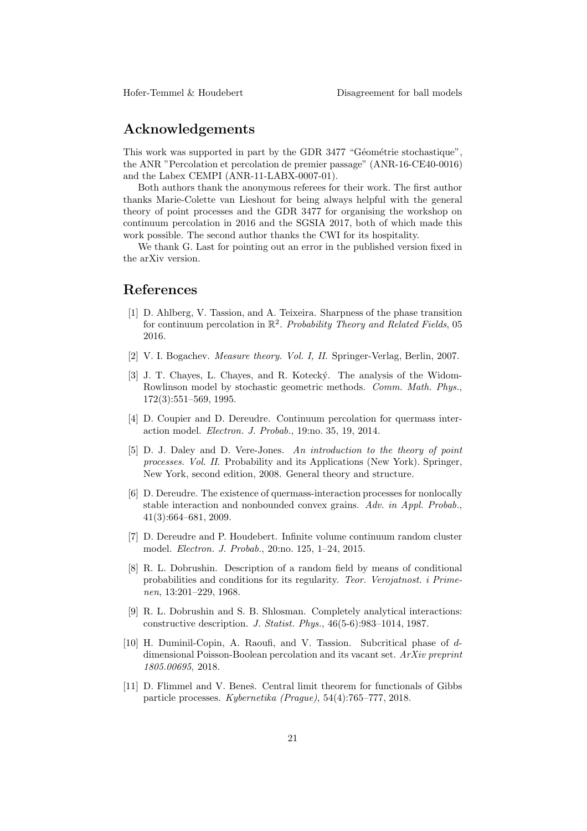# Acknowledgements

This work was supported in part by the GDR 3477 "Géométrie stochastique". the ANR "Percolation et percolation de premier passage" (ANR-16-CE40-0016) and the Labex CEMPI (ANR-11-LABX-0007-01).

Both authors thank the anonymous referees for their work. The first author thanks Marie-Colette van Lieshout for being always helpful with the general theory of point processes and the GDR 3477 for organising the workshop on continuum percolation in 2016 and the SGSIA 2017, both of which made this work possible. The second author thanks the CWI for its hospitality.

We thank G. Last for pointing out an error in the published version fixed in the arXiv version.

# <span id="page-20-4"></span>References

- [1] D. Ahlberg, V. Tassion, and A. Teixeira. Sharpness of the phase transition for continuum percolation in  $\mathbb{R}^2$ . Probability Theory and Related Fields, 05 2016.
- <span id="page-20-10"></span><span id="page-20-1"></span>[2] V. I. Bogachev. Measure theory. Vol. I, II. Springer-Verlag, Berlin, 2007.
- [3] J. T. Chayes, L. Chayes, and R. Kotecký. The analysis of the Widom-Rowlinson model by stochastic geometric methods. Comm. Math. Phys., 172(3):551–569, 1995.
- <span id="page-20-7"></span>[4] D. Coupier and D. Dereudre. Continuum percolation for quermass interaction model. Electron. J. Probab., 19:no. 35, 19, 2014.
- <span id="page-20-3"></span>[5] D. J. Daley and D. Vere-Jones. An introduction to the theory of point processes. Vol. II. Probability and its Applications (New York). Springer, New York, second edition, 2008. General theory and structure.
- <span id="page-20-6"></span>[6] D. Dereudre. The existence of quermass-interaction processes for nonlocally stable interaction and nonbounded convex grains. Adv. in Appl. Probab., 41(3):664–681, 2009.
- <span id="page-20-2"></span>[7] D. Dereudre and P. Houdebert. Infinite volume continuum random cluster model. Electron. J. Probab., 20:no. 125, 1–24, 2015.
- <span id="page-20-0"></span>[8] R. L. Dobrushin. Description of a random field by means of conditional probabilities and conditions for its regularity. Teor. Verojatnost. i Primenen, 13:201–229, 1968.
- <span id="page-20-9"></span>[9] R. L. Dobrushin and S. B. Shlosman. Completely analytical interactions: constructive description. J. Statist. Phys., 46(5-6):983–1014, 1987.
- <span id="page-20-5"></span>[10] H. Duminil-Copin, A. Raoufi, and V. Tassion. Subcritical phase of ddimensional Poisson-Boolean percolation and its vacant set. ArXiv preprint 1805.00695, 2018.
- <span id="page-20-8"></span>[11] D. Flimmel and V. Beneš. Central limit theorem for functionals of Gibbs particle processes. Kybernetika (Prague), 54(4):765–777, 2018.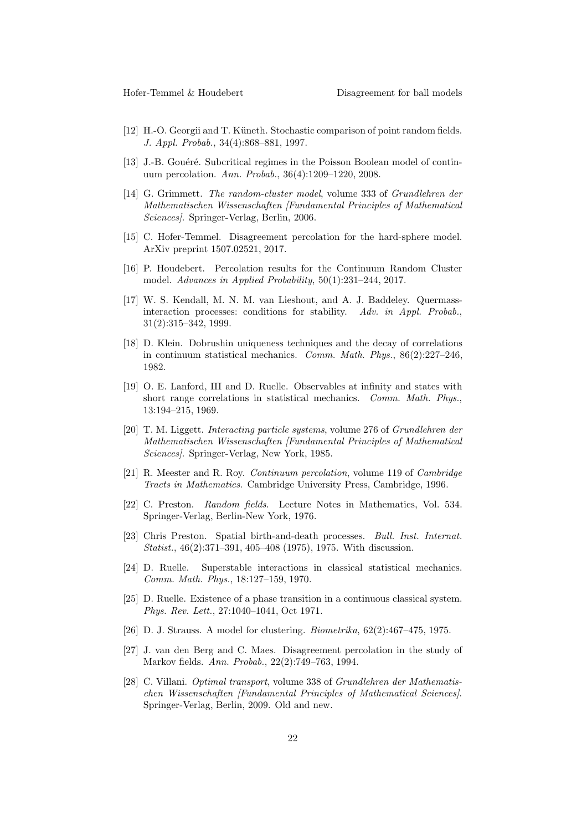- <span id="page-21-8"></span>[12] H.-O. Georgii and T. Küneth. Stochastic comparison of point random fields. J. Appl. Probab., 34(4):868–881, 1997.
- <span id="page-21-10"></span>[13] J.-B. Gouéré. Subcritical regimes in the Poisson Boolean model of continuum percolation. Ann. Probab., 36(4):1209–1220, 2008.
- <span id="page-21-13"></span>[14] G. Grimmett. The random-cluster model, volume 333 of Grundlehren der Mathematischen Wissenschaften [Fundamental Principles of Mathematical Sciences]. Springer-Verlag, Berlin, 2006.
- <span id="page-21-14"></span><span id="page-21-4"></span>[15] C. Hofer-Temmel. Disagreement percolation for the hard-sphere model. ArXiv preprint 1507.02521, 2017.
- [16] P. Houdebert. Percolation results for the Continuum Random Cluster model. Advances in Applied Probability, 50(1):231–244, 2017.
- <span id="page-21-5"></span>[17] W. S. Kendall, M. N. M. van Lieshout, and A. J. Baddeley. Quermassinteraction processes: conditions for stability. Adv. in Appl. Probab., 31(2):315–342, 1999.
- <span id="page-21-16"></span>[18] D. Klein. Dobrushin uniqueness techniques and the decay of correlations in continuum statistical mechanics. Comm. Math. Phys., 86(2):227–246, 1982.
- <span id="page-21-0"></span>[19] O. E. Lanford, III and D. Ruelle. Observables at infinity and states with short range correlations in statistical mechanics. Comm. Math. Phys., 13:194–215, 1969.
- <span id="page-21-11"></span>[20] T. M. Liggett. Interacting particle systems, volume 276 of Grundlehren der Mathematischen Wissenschaften [Fundamental Principles of Mathematical Sciences]. Springer-Verlag, New York, 1985.
- <span id="page-21-9"></span>[21] R. Meester and R. Roy. Continuum percolation, volume 119 of Cambridge Tracts in Mathematics. Cambridge University Press, Cambridge, 1996.
- <span id="page-21-12"></span>[22] C. Preston. Random fields. Lecture Notes in Mathematics, Vol. 534. Springer-Verlag, Berlin-New York, 1976.
- <span id="page-21-7"></span>[23] Chris Preston. Spatial birth-and-death processes. Bull. Inst. Internat. Statist., 46(2):371–391, 405–408 (1975), 1975. With discussion.
- <span id="page-21-1"></span>[24] D. Ruelle. Superstable interactions in classical statistical mechanics. Comm. Math. Phys., 18:127–159, 1970.
- <span id="page-21-2"></span>[25] D. Ruelle. Existence of a phase transition in a continuous classical system. Phys. Rev. Lett., 27:1040–1041, Oct 1971.
- <span id="page-21-6"></span><span id="page-21-3"></span>[26] D. J. Strauss. A model for clustering. Biometrika, 62(2):467–475, 1975.
- [27] J. van den Berg and C. Maes. Disagreement percolation in the study of Markov fields. Ann. Probab., 22(2):749–763, 1994.
- <span id="page-21-15"></span>[28] C. Villani. Optimal transport, volume 338 of Grundlehren der Mathematischen Wissenschaften [Fundamental Principles of Mathematical Sciences]. Springer-Verlag, Berlin, 2009. Old and new.